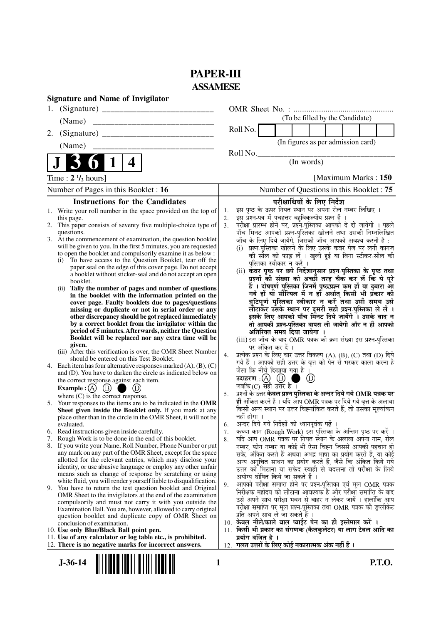# **PAPER-III ASSAMESE**

| <b>Signature and Name of Invigilator</b>                                                                                                                                                                                                                                                                                                                                                                                                                                                                                                                                                                                                                                                                                                                                                                                                                                                                                                                                                                                                                                                                                                                                                                                                                                                                                                                           |                                                                                                                                                                                                                                                                                                                                                                                                                                                                                                                                                                                                                                                                                                                                                                                                                                                                                                                                                                                                                                                                                                                                                                                                                                                                                                                      |
|--------------------------------------------------------------------------------------------------------------------------------------------------------------------------------------------------------------------------------------------------------------------------------------------------------------------------------------------------------------------------------------------------------------------------------------------------------------------------------------------------------------------------------------------------------------------------------------------------------------------------------------------------------------------------------------------------------------------------------------------------------------------------------------------------------------------------------------------------------------------------------------------------------------------------------------------------------------------------------------------------------------------------------------------------------------------------------------------------------------------------------------------------------------------------------------------------------------------------------------------------------------------------------------------------------------------------------------------------------------------|----------------------------------------------------------------------------------------------------------------------------------------------------------------------------------------------------------------------------------------------------------------------------------------------------------------------------------------------------------------------------------------------------------------------------------------------------------------------------------------------------------------------------------------------------------------------------------------------------------------------------------------------------------------------------------------------------------------------------------------------------------------------------------------------------------------------------------------------------------------------------------------------------------------------------------------------------------------------------------------------------------------------------------------------------------------------------------------------------------------------------------------------------------------------------------------------------------------------------------------------------------------------------------------------------------------------|
| 1.                                                                                                                                                                                                                                                                                                                                                                                                                                                                                                                                                                                                                                                                                                                                                                                                                                                                                                                                                                                                                                                                                                                                                                                                                                                                                                                                                                 |                                                                                                                                                                                                                                                                                                                                                                                                                                                                                                                                                                                                                                                                                                                                                                                                                                                                                                                                                                                                                                                                                                                                                                                                                                                                                                                      |
| (Name)                                                                                                                                                                                                                                                                                                                                                                                                                                                                                                                                                                                                                                                                                                                                                                                                                                                                                                                                                                                                                                                                                                                                                                                                                                                                                                                                                             | (To be filled by the Candidate)                                                                                                                                                                                                                                                                                                                                                                                                                                                                                                                                                                                                                                                                                                                                                                                                                                                                                                                                                                                                                                                                                                                                                                                                                                                                                      |
| 2.                                                                                                                                                                                                                                                                                                                                                                                                                                                                                                                                                                                                                                                                                                                                                                                                                                                                                                                                                                                                                                                                                                                                                                                                                                                                                                                                                                 | Roll No.                                                                                                                                                                                                                                                                                                                                                                                                                                                                                                                                                                                                                                                                                                                                                                                                                                                                                                                                                                                                                                                                                                                                                                                                                                                                                                             |
| (Name)                                                                                                                                                                                                                                                                                                                                                                                                                                                                                                                                                                                                                                                                                                                                                                                                                                                                                                                                                                                                                                                                                                                                                                                                                                                                                                                                                             | (In figures as per admission card)                                                                                                                                                                                                                                                                                                                                                                                                                                                                                                                                                                                                                                                                                                                                                                                                                                                                                                                                                                                                                                                                                                                                                                                                                                                                                   |
| 4                                                                                                                                                                                                                                                                                                                                                                                                                                                                                                                                                                                                                                                                                                                                                                                                                                                                                                                                                                                                                                                                                                                                                                                                                                                                                                                                                                  | Roll No.<br>(In words)                                                                                                                                                                                                                                                                                                                                                                                                                                                                                                                                                                                                                                                                                                                                                                                                                                                                                                                                                                                                                                                                                                                                                                                                                                                                                               |
| Time : $2 \frac{1}{2}$ hours]                                                                                                                                                                                                                                                                                                                                                                                                                                                                                                                                                                                                                                                                                                                                                                                                                                                                                                                                                                                                                                                                                                                                                                                                                                                                                                                                      | [Maximum Marks: 150]                                                                                                                                                                                                                                                                                                                                                                                                                                                                                                                                                                                                                                                                                                                                                                                                                                                                                                                                                                                                                                                                                                                                                                                                                                                                                                 |
| Number of Pages in this Booklet: 16                                                                                                                                                                                                                                                                                                                                                                                                                                                                                                                                                                                                                                                                                                                                                                                                                                                                                                                                                                                                                                                                                                                                                                                                                                                                                                                                | Number of Questions in this Booklet: 75                                                                                                                                                                                                                                                                                                                                                                                                                                                                                                                                                                                                                                                                                                                                                                                                                                                                                                                                                                                                                                                                                                                                                                                                                                                                              |
| <b>Instructions for the Candidates</b>                                                                                                                                                                                                                                                                                                                                                                                                                                                                                                                                                                                                                                                                                                                                                                                                                                                                                                                                                                                                                                                                                                                                                                                                                                                                                                                             | परीक्षार्थियों के लिए निर्देश                                                                                                                                                                                                                                                                                                                                                                                                                                                                                                                                                                                                                                                                                                                                                                                                                                                                                                                                                                                                                                                                                                                                                                                                                                                                                        |
| 1. Write your roll number in the space provided on the top of<br>this page.<br>This paper consists of seventy five multiple-choice type of<br>2.<br>questions.<br>3. At the commencement of examination, the question booklet<br>will be given to you. In the first 5 minutes, you are requested<br>to open the booklet and compulsorily examine it as below :<br>To have access to the Question Booklet, tear off the<br>(i)<br>paper seal on the edge of this cover page. Do not accept<br>a booklet without sticker-seal and do not accept an open<br>booklet.<br>(ii) Tally the number of pages and number of questions<br>in the booklet with the information printed on the<br>cover page. Faulty booklets due to pages/questions<br>missing or duplicate or not in serial order or any<br>other discrepancy should be got replaced immediately<br>by a correct booklet from the invigilator within the<br>period of 5 minutes. Afterwards, neither the Question<br>Booklet will be replaced nor any extra time will be<br>given.<br>(iii) After this verification is over, the OMR Sheet Number<br>should be entered on this Test Booklet.<br>4. Each item has four alternative responses marked $(A)$ , $(B)$ , $(C)$<br>and (D). You have to darken the circle as indicated below on<br>the correct response against each item.<br>(B)<br>Example : $(A)$ | इस पृष्ठ के ऊपर नियत स्थान पर अपना रोल नम्बर लिखिए ।<br>1.<br>इस प्रश्न-पत्र में पचहत्तर बहुविकल्पीय प्रश्न हैं ।<br>2.<br>परीक्षा प्रारम्भ होने पर, प्रश्नॅ-पुस्तिका आपको दे दी जायेगी । पहले<br>3.<br>पाँच मिनट आपको प्रश्न-पुस्तिका खोलने तथा उसकी निम्नलिखित<br>जाँच के लिए दिये जायेंगे, जिसकी जाँच आपको अवश्य करनी है :<br>(i) प्रश्न-पुस्तिका खोलने के लिए उसके कवर पेज पर लगी कागज<br>की सील को फाड़ लें । खुली हुई या बिना स्टीकर-सील की<br>पुस्तिका स्वीकार न करें ।<br>(ii) कवर पृष्ठ पर छपे निर्देशानुसार प्रश्न-पुस्तिका के पृष्ठ तथा<br>प्रश्नों की संख्या को अच्छी तरह चैक कर लें कि ये पूरे<br>हैं । दोषपूर्ण पुस्तिका जिनमें पृष्ठ/प्रश्न कम हों या दुबारा आ<br>गये हों यो सीरियल में न हों अर्थात् किसी भी प्रकार की<br>त्रुटिपूर्ण पुस्तिका स्वीकार न करें तथा उसी समय उसे<br>लौटाकर उसके स्थान पर दूसरी सही प्रश्न-पुस्तिका ले लें ।<br>इसके लिए आपको पाँच मिनट दिये जायेंगे । उसके बाद न<br>तो आपकी प्रश्न-पुस्तिका वापस ली जायेगी और न ही आपको<br>अतिरिक्त समय दिया जायेगा ।<br>(iii) इस जाँच के बाद OMR पत्रक की क्रम संख्या इस प्रश्न-पुस्तिका<br>पर अंकित कर दें ।<br>प्रत्येक प्रश्न के लिए चार उत्तर विकल्प (A), (B), (C) तथा (D) दिये<br>4.<br>गये हैं । आपको सही उत्तर के वृत्त को पेन से भरकर काला करना है<br>जैसा कि नीचे दिखाया गया है ।<br>$\circledR$<br>जबकि $(C)$ सही उत्तर है । |
| where $(C)$ is the correct response.<br>5. Your responses to the items are to be indicated in the OMR<br>Sheet given inside the Booklet only. If you mark at any<br>place other than in the circle in the OMR Sheet, it will not be<br>evaluated.                                                                                                                                                                                                                                                                                                                                                                                                                                                                                                                                                                                                                                                                                                                                                                                                                                                                                                                                                                                                                                                                                                                  | प्रश्नों के उत्तर केवल प्रश्न पुस्तिका के अन्दर दिये गये OMR पत्रक पर<br>5.<br>ही अंकित करने हैं । यदि आप OMR पत्रक पर दिये गये वृत्त के अलावा<br>किसी अन्य स्थान पर उत्तर चिह्नांकित करते हैं, तो उसका मूल्यांकन<br>नहीं होगा ।<br>अन्दर दिये गये निर्देशों को ध्यानपूर्वक पढ़ें ।<br>6.                                                                                                                                                                                                                                                                                                                                                                                                                                                                                                                                                                                                                                                                                                                                                                                                                                                                                                                                                                                                                            |
| Read instructions given inside carefully.<br>6.                                                                                                                                                                                                                                                                                                                                                                                                                                                                                                                                                                                                                                                                                                                                                                                                                                                                                                                                                                                                                                                                                                                                                                                                                                                                                                                    | कच्चा काम (Rough Work) इस पुस्तिका के अन्तिम पृष्ठ पर करें ।<br>7.                                                                                                                                                                                                                                                                                                                                                                                                                                                                                                                                                                                                                                                                                                                                                                                                                                                                                                                                                                                                                                                                                                                                                                                                                                                   |
| Rough Work is to be done in the end of this booklet.<br>7.<br>8. If you write your Name, Roll Number, Phone Number or put<br>any mark on any part of the OMR Sheet, except for the space<br>allotted for the relevant entries, which may disclose your<br>identity, or use abusive language or employ any other unfair<br>means such as change of response by scratching or using<br>white fluid, you will render yourself liable to disqualification.                                                                                                                                                                                                                                                                                                                                                                                                                                                                                                                                                                                                                                                                                                                                                                                                                                                                                                             | यदि आप OMR पत्रक पर नियत स्थान के अलावा अपना नाम, रोल<br>8.<br>नम्बर, फोन नम्बर या कोई भी ऐसा चिह्न जिससे आपकी पहचान हो<br>सके, अंकित करते हैं अथवा अभद्र भाषा का प्रयोग करते हैं, या कोई<br>अन्य अनुचित साधन का प्रयोग करते हैं, जैसे कि अंकित किये गये<br>उत्तर को मिटाना या सफेद स्याही से बदलना तो परीक्षा के लिये<br>अयोग्य घोषित किये जा सकते हैं ।                                                                                                                                                                                                                                                                                                                                                                                                                                                                                                                                                                                                                                                                                                                                                                                                                                                                                                                                                            |
| 9.<br>You have to return the test question booklet and Original<br>OMR Sheet to the invigilators at the end of the examination<br>compulsorily and must not carry it with you outside the<br>Examination Hall. You are, however, allowed to carry original<br>question booklet and duplicate copy of OMR Sheet on<br>conclusion of examination.<br>10. Use only Blue/Black Ball point pen.                                                                                                                                                                                                                                                                                                                                                                                                                                                                                                                                                                                                                                                                                                                                                                                                                                                                                                                                                                         | आपको परीक्षा समाप्त होने पर प्रश्न-पुस्तिका एवं मूल OMR पत्रक<br>9.<br>निरीक्षक महोदय को लौटाना आवश्यक है और परीक्षा समाप्ति के बाद<br>उसे अपने साथ परीक्षा भवन से बाहर न लेकर जायें । हालांकि आप<br>परीक्षा समाप्ति पर मूल प्रश्न-पुस्तिका तथा OMR पत्रक की डुप्लीकेट<br>प्रति अपने साथ ले जा सकते हैं ।<br>10. केवल नीले/काले बाल प्वाईंट पेन का ही इस्तेमाल करें ।<br>11. किसी भी प्रकार का संगणक (कैलकुलेटर) या लाग टेबल आदि का                                                                                                                                                                                                                                                                                                                                                                                                                                                                                                                                                                                                                                                                                                                                                                                                                                                                                  |
| 11. Use of any calculator or log table etc., is prohibited.                                                                                                                                                                                                                                                                                                                                                                                                                                                                                                                                                                                                                                                                                                                                                                                                                                                                                                                                                                                                                                                                                                                                                                                                                                                                                                        | प्रयोग वर्जित है ।                                                                                                                                                                                                                                                                                                                                                                                                                                                                                                                                                                                                                                                                                                                                                                                                                                                                                                                                                                                                                                                                                                                                                                                                                                                                                                   |
| 12. There is no negative marks for incorrect answers.<br>$J - 36 - 14$                                                                                                                                                                                                                                                                                                                                                                                                                                                                                                                                                                                                                                                                                                                                                                                                                                                                                                                                                                                                                                                                                                                                                                                                                                                                                             | 12. गलत उत्तरों के लिए कोई नकारात्मक अंक नहीं हैं ।<br><b>P.T.O.</b><br>1                                                                                                                                                                                                                                                                                                                                                                                                                                                                                                                                                                                                                                                                                                                                                                                                                                                                                                                                                                                                                                                                                                                                                                                                                                            |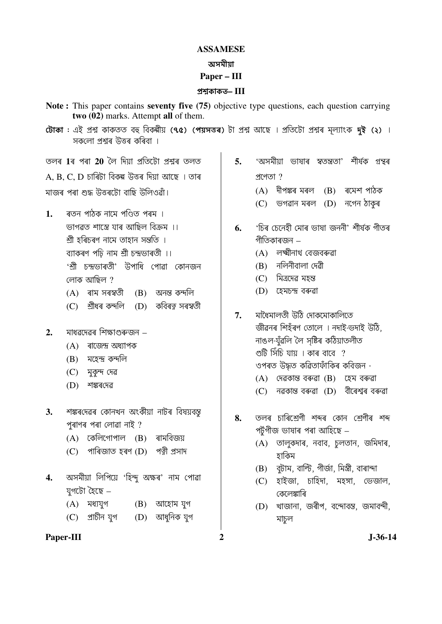## **ASSAMESE** অসমীযা Paper – III

## প্ৰশ্বকাকত– $III$

- Note: This paper contains seventy five (75) objective type questions, each question carrying two (02) marks. Attempt all of them.
- টোকা : এই প্ৰশ্ন কাকতত বহু বিকৰ্মীয় (৭৫) (পয়সত্তৰ) টা প্ৰশ্ন আছে । প্ৰতিটো প্ৰশ্নৰ মূল্যাংক দুই (২) । সকলো পশ্যৰ উত্তৰ কৰিবা ।

তলৰ 1ৰ পৰা 20 লৈ দিয়া <u>পতিটো পশ্মৰ তলত</u>

 $A$ ,  $B$ ,  $C$ ,  $D$  চাৰিটা বিকল্প উত্তৰ দিয়া আছে । তাৰ মাজৰ পৰা শুদ্ধ উত্তৰটো বাছি উলিওৱাঁ।

- ৰতন পাঠক নামে পণিতে পৰম ।  $\mathbf{1}$ . ভাগৱত শাস্ত্ৰে যাৰ আছিল বিক্ৰম ।। শ্ৰী হৰিচৰণ নামে তাহান সন্তুতি । ব্যাকৰণ পঢ়ি নাম শ্ৰী চন্দ্ৰভাৰতী ।। 'শ্ৰী চন্দ্ৰডাৰতী' উপাধি পোৱা কোনজন লোক আছিল ?
	- $(A)$  ৰাম সৰস্বতী  $(B)$ অনন্ত কন্দলি
	- (D) কবিৰত্ন সৰস্বতী (C) শ্ৰীধৰ কন্দলি
- মাধৱদেৱৰ শিক্ষাগুৰুজন  $2.$ 
	- $(A)$  ৰাজেন্দ্ৰ অধ্যাপক
	- (B) মহেন্দ্ৰ কন্দলি
	- $(C)$  মুকন্দ দেৱ
	- (D) শঙ্কৰদেৱ
- শঙ্কৰদেৱৰ কোনখন অংকীয়া নাটৰ বিষয়বস্ত  $\mathbf{3}$ পৰাণৰ পৰা লোৱা নাই?
	- $(A)$  কেলিগোপাল  $(B)$  ৰামবিজয়
	- (C) পাৰিজাত হৰণ (D) পত্তী প্ৰসাদ
- অসমীয়া লিপিয়ে 'হিন্দু অক্ষৰ' নাম পোৱা  $\overline{4}$ . যগটো হৈছে –
	- $(A)$  মধ্যযুগ  $(B)$  আহোম যুগ  $(C)$  প্রাচীন যগ (D) আধনিক যগ
- Paper-III
- 'অসমীয়া ভাষাৰ স্বতন্ত্ৰতা' শীৰ্ষক গ্ৰন্থৰ  $5.$  $MTOT$ ?
	- (A) দীপঙ্কৰ মৰল (B) ৰমেশ পাঠক
	- $(C)$  ভগৱান মৰল  $(D)$  নগেন ঠাকৰ
- 'চিৰ চেনেহী মোৰ ভাষা জননী' শীৰ্ষক গীতৰ 6. গীতিকাৰজন –
	- (A) লক্ষ্মীনাথ বেজবৰুৱা
	- $(B)$  নলিনীবালা দেৱী
	- (C) মিত্রদেৱ মহন্ত
	- (D) হেমচন্দ্ৰ বৰুৱা
- $\overline{7}$ . মাধৈমালতী উঠি দোকমোকালিতে জীৱনৰ শিহঁৰণ তোলে । নদাই-ভদাই উঠি, নাঙল-যঁৱলি লৈ সষ্টিৰ কঠিয়াতলীত গুটি সিঁচি যায় । কাৰ বাবে  $\,$  ? ওপৰত উদ্ধত কৱিতাফাঁকিৰ কবিজন - $(A)$  দেৱকান্ত বৰুৱা  $(B)$  হেম বৰুৱা
	- (C) নৱকান্ত বৰুৱা (D) বীৰেশ্বৰ বৰুৱা
- তলৰ চাৰিশ্ৰেণী শব্দৰ কোন শ্ৰেণীৰ শব্দ 8. পৰ্টগীজ ভাষাৰ পৰা আহিছে –
	- (A) তালুকদাৰ, নবাব, চলতান, জমিদাৰ, হাকিম
	- বুটাম, বাল্টি, গীৰ্জা, মিস্ত্ৰী, বাৰান্দা (B)
	- (C) হাইজা, চাহিদা, মহঙ্গা, ডেজাল, কেলেঙ্কাৰি
	- (D) খাজানা, জৰীপ, বন্দোবস্ত, জমাবন্দী, মাচল
- $\overline{2}$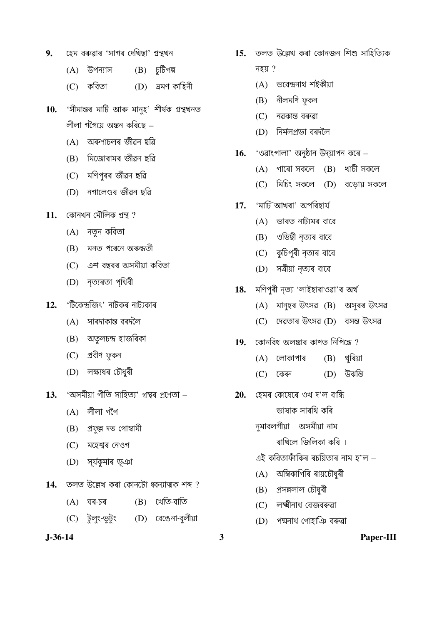- হেম বৰুৱাৰ 'সাগৰ দেখিছা' গ্ৰন্থখন 9.
	- $(A)$  উপন্যাস  $(B)$  চুটিগল্প
	- $(C)$  কবিতা  $(D)$  অমণ কাহিনী
- 'সীমান্তৰ মাটি আৰু মানুহ' শীৰ্ষক গ্ৰন্থখনত 10. লীলা গগৈয়ে অঙ্কন কৰিছে –
	- (A) অৰুণাচলৰ জীৱন ছৱি
	- (B) মিজোৰামৰ জীৱন ছৱি
	- $(C)$  মণিপুৰৰ জীৱন ছৱি
	- (D) নগালেণ্ডৰ জীৱন ছৱি
- $11.$  কোনখন মৌলিক গ্রন্থ ?
	- $(A)$  নতুন কবিতা
	- (B) মনত পৰেনে অৰুন্ধতী
	- (C) এশ বছৰৰ অসমীয়া কবিতা
	- (D) নৃত্যৰতা পৃথিবী
- 'টিকেন্দ্ৰজিৎ' নাটকৰ নাট্যকাৰ  $12.$ 
	- $(A)$  সাৰদাকান্ত বৰদলৈ
	- (B) অতৃলচন্দ্ৰ হাজৰিকা
	- (C) প্ৰবীণ ফুকন
	- (D) লক্ষ্যধৰ চৌধুৰী
- 'অসমীয়া গীতি সাহিত্য' গ্ৰন্থৰ প্ৰণেতা  $13<sub>1</sub>$ 
	- $(A)$  লীলা গগৈ
	- (B) প্ৰফুল্ল দত্ত গোস্বামী
	- (C) মহেশ্বৰ নেওগ
	- (D) সূৰ্যকুমাৰ ভূঞা
- $14.$  তলত উল্লেখ কৰা কোনটো ধ্বন্যাত্মক শব্দ ?
	- $(B)$  খেতি-বাতি  $(A)$  ঘৰ-চৰ
	- (C) টুলুং-ডুটুং (D) বেঙেনা-বলীয়া
- $J-36-14$
- 15. তলত উল্লেখ কৰা কোনজন শিশু সাহিত্যিক নহয়  $?$ 
	- (A) ভবেন্দ্ৰনাথ শইকীয়া
	- $(B)$  নীলমণি ফুকন
	- (C) নৱকান্ত বৰুৱা
	- (D) নিৰ্মলপ্ৰভা বৰদলৈ
- 'ওৱাংগালা' অনুষ্ঠান উদ্য়াপন কৰে 16.
	- $(A)$  গাৰো সকলে  $(B)$  খাচী সকলে
	- $(C)$  মিচিং সকলে  $(D)$  বড়োয় সকলে
- 17. 'মাটি`আখৰা' অপৰিহাৰ্য
	- (A) ভাৰত নাট্যমৰ বাবে
	- (B) ওডিছী নত্যৰ বাবে
	- (C) কুচিপুৰী নৃত্যৰ বাবে
	- (D) সত্ৰীয়া নৃত্যৰ বাবে
- মণিপুৰী নৃত্য 'লাইহাৰাওৱা'ৰ অৰ্থ 18.
	- $(A)$  মানুহৰ উৎসৱ  $(B)$  অসুৰৰ উৎসৱ
	- (C) দেৱতাৰ উৎসৱ (D) বসন্ত উৎসৱ
- $19.$  কোনবিধ অলঙ্কাৰ কাণত নিপিন্ধে ?
	- $(B)$  থৰিয়া  $(A)$  লোকাপাৰ
	- (D) উঝন্তি  $(C)$  কেৰু
- হেমৰ কোষেৰে ওখ দ'ল বান্ধি 20. ভাষাক সাৰথি কৰি
	- নুমাবলগীয়া অসমীয়া নাম
		- ৰাখিলে জিলিকা কৰি ।
	- এই কবিতাফাঁকিৰ ৰচয়িতাৰ নাম হ'ল –
	- (A) অম্বিকাগিৰি ৰায়চৌধুৰী
	- (B) প্ৰসন্নলাল চৌধুৰী

3

- (C) লক্ষ্মীনাথ বেজবৰুৱা
- (D) পদ্মনাথ গোহাঞি বৰুৱা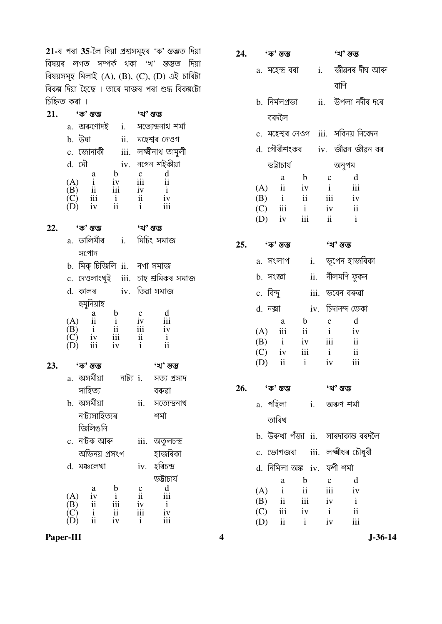21-ৰ পৰা 35-লৈ দিয়া প্ৰশ্নসমূহৰ 'ক' স্তম্ভত দিয়া বিষয়ৰ লগত সম্পৰ্ক থকা 'খ' স্তম্ভত দিয়া বিষয়সমূহ মিলাই (A), (B), (C), (D) এই চাৰিটা বিকল্প দিয়া হৈছে । তাৰে মাজৰ পৰা শুদ্ধ বিকল্পটো চিহ্নিত কৰা ।

| 21. |            |        | 'ক' স্তম্ভ                        |                       |                | 'খ' স্তম্ভ          |               |  |
|-----|------------|--------|-----------------------------------|-----------------------|----------------|---------------------|---------------|--|
|     |            |        | a. অৰুণোদই                        |                       | $\mathbf{i}$ . | সত্যেন্দ্ৰনাথ শৰ্মা |               |  |
|     |            | b. উষা |                                   |                       | ii.            |                     | মহেশ্বৰ নেওগ  |  |
|     |            |        | c. জোনাকী                         |                       | iii.           | লক্ষ্মীনাথ তামুলী   |               |  |
|     |            | d. মৌ  |                                   |                       |                | iv. নগেন শইকীয়া    |               |  |
|     |            |        | a                                 | b                     |                |                     |               |  |
|     |            |        |                                   |                       |                | iii                 | $\mathbf{ii}$ |  |
|     | (A)<br>(B) |        |                                   | iii                   |                |                     |               |  |
|     | 'C)        |        | $\frac{1}{11}$<br>$\frac{1}{111}$ |                       |                | iv<br>ii            | iv            |  |
|     |            |        | iv                                | $\frac{i}{\text{ii}}$ |                | $\mathbf{i}$        | iii           |  |
|     |            |        |                                   |                       |                |                     |               |  |

| 22. | 'ক' স্তম্ভ | 'খ' ম্ভম্ভ |
|-----|------------|------------|
|     |            |            |

- a. ডালিমীৰ i. মিচিং সমাজ সপোন b. মিক্ চিজিলি ii. নগা সমাজ
- c. দেওলাংখুই iii. চাহ শ্ৰমিকৰ সমাজ
- iv. তিৱা সমাজ d. কালৰ হুমুনিয়াহ  $\mathbf b$  $\mathbf c$ d  $\mathbf{a}$  $(A)$  $\overline{\mathbf{ii}}$  $iv$  $\mathbf{i}$ iii  $\overrightarrow{B}$ <br> $\overrightarrow{C}$  $\mathbf{i}$  $\overline{\mathbf{1}}$ iii iv iii  $iv$  $\overline{\mathbf{1}}$  $\mathbf{i}$
- $\overline{(\mathbf{D})}$  $\mathbf{ii}$ iii  $iv$  $\mathbf{i}$ 23. 'ক' স্তম্ভ 'খ' ম্ভম্ভ a. অসমীয়া নাট্য i. সত্য প্ৰসাদ সাহিত্য বৰুৱা b. অসমীয়া ii. সত্যেন্দ্ৰনাথ
	- নাট্যসাহিত্যৰ শৰ্মা জিলিঙনি c. নাটক আৰু iii. অতুলচন্দ্ৰ অভিনয় প্ৰসংগ হাজৰিকা iv. হৰিচন্দ্ৰ d. মঞ্চলেখা উারার্যুভ  $\frac{d}{i}$  $\frac{c}{ii}$  $\frac{a}{iv}$  $\mathbf b$  $(A)$  $\mathbf{i}$  $(B)$  $\,$  ii iv  $\mathbf{i}$ iii

iii

 $\mathbf{i}$ 

 $\overline{\mathbf{u}}$ 

iv

iv

iii

|     | 24. 'ক' স্তম্ভ                           |                             | 'খ' স্তম্ভ                                 |
|-----|------------------------------------------|-----------------------------|--------------------------------------------|
|     |                                          |                             | a. মহেন্দ্ৰ বৰা        i.    জীৱনৰ দীঘ আৰু |
|     |                                          |                             | বাণি                                       |
|     |                                          |                             | b. নিৰ্মলপ্ৰভা       ii.   উপলা নদীৰ দৰে   |
|     | বৰদলৈ                                    |                             |                                            |
|     |                                          |                             | c. মহেশ্বৰ নেওগ iii. সবিনয় নিবেদন         |
|     |                                          |                             | d. গৌৰীশংকৰ   iv.  জীৱন জীৱন বৰ            |
|     | ভট্টাচাৰ্য                               |                             | অনুপম                                      |
|     | a                                        |                             | b c d                                      |
|     | $(A)$ ii iv i iii                        |                             |                                            |
|     | $(B)$ i ii iii iv                        |                             |                                            |
|     | $(C)$ iii i                              | iv                          | $\overline{\mathbf{ii}}$                   |
|     | $(D)$ iv iii ii i                        |                             |                                            |
|     | $25.$ 'ক' স্তম্ভ                         |                             | 'খ' স্তম্ভ                                 |
|     | a. সংলাপ     i.    ভূপেন হাজৰিকা         |                             |                                            |
|     | b. সংজ্ঞা ii. নীলমণি ফুকন                |                             |                                            |
|     | c. বিন্দু                                |                             | iii. ভবেন বৰুৱা                            |
|     | d. নক্সা          iv. চিদানন্দ ভেকা      |                             |                                            |
|     | a                                        | $b$ c                       | d                                          |
|     | $(A)$ iii ii iv                          |                             |                                            |
|     | $(B)$ i iv iii ii                        |                             |                                            |
|     | (C) iv iii i ii                          |                             |                                            |
|     | $(D)$ ii i iv iii                        |                             |                                            |
| 26. | 'ক' স্তম্ভ                               |                             | 'খ' স্তম্ভ                                 |
|     | a. পহিলা                                 |                             | i.    অৰুণ শৰ্মা                           |
|     | তাৰিখ                                    |                             |                                            |
|     |                                          |                             | b. উৰুখা পঁজা ii.  সাৰদাকান্ত বৰদলৈ        |
|     | c. ভোগজৰা  iii. লক্ষ্মীধৰ চৌধুৰী         |                             |                                            |
|     | d. নিমিলা অঙ্ক iv.  ফণী শৰ্মা            |                             |                                            |
|     | a                                        | $\mathbf b$<br>$\mathbf{c}$ | d                                          |
|     | $\mathbf{i}$<br>(A)                      | $\overline{\mathbf{ii}}$    | iii<br>iv                                  |
|     | $(B)$ ii                                 | iii<br>iv                   | $\mathbf{i}$                               |
|     | $(C)$ iii iv<br>$(D)$ ii<br>$\mathbf{i}$ | $\mathbf{i}$                | $\mathbf{ii}$<br>iii<br>iv                 |
|     |                                          |                             |                                            |

Paper-III

 $\overline{(\begin{matrix} C \\ D \end{matrix})}$ 

 $\frac{\mathrm{i}}{\mathrm{ii}}$ 

 $\overline{\mathbf{4}}$ 

 $J - 36 - 14$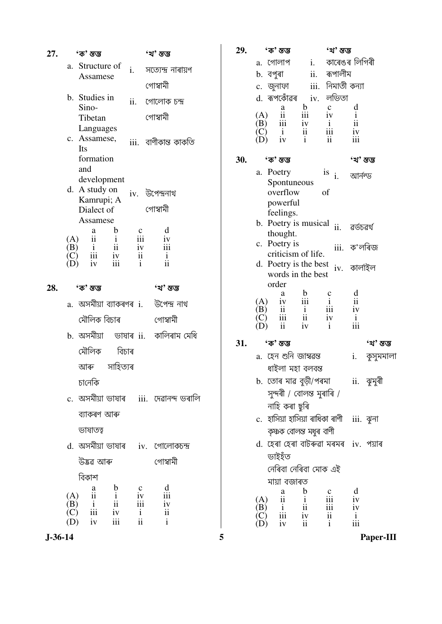| 27. |                                        | 'ক' স্তম্ভ                   |                                                     |                                                                                   | 'খ' ম্ভ                                  |  |
|-----|----------------------------------------|------------------------------|-----------------------------------------------------|-----------------------------------------------------------------------------------|------------------------------------------|--|
|     |                                        | a. Structure of              |                                                     | i.                                                                                | সত্যেন্দ্ৰ নাৰায়ণ                       |  |
|     |                                        | Assamese                     |                                                     |                                                                                   | গোস্বামী                                 |  |
|     | b. Studies in                          |                              |                                                     | ii. গোলোক চন্দ্ৰ                                                                  |                                          |  |
|     |                                        | Sino-<br>Tibetan             |                                                     |                                                                                   | গোস্বামী                                 |  |
|     |                                        | Languages                    |                                                     |                                                                                   |                                          |  |
|     |                                        | c. Assamese,<br>Its          |                                                     |                                                                                   | iii.   বাণীকান্ত কাকতি                   |  |
|     |                                        | formation                    |                                                     |                                                                                   |                                          |  |
|     |                                        | and                          |                                                     |                                                                                   |                                          |  |
|     |                                        | development<br>d. A study on |                                                     |                                                                                   | iv. উপেন্দ্ৰনাথ                          |  |
|     |                                        | Kamrupi; A                   |                                                     |                                                                                   |                                          |  |
|     |                                        | Dialect of<br>Assamese       |                                                     |                                                                                   | গোস্বামী                                 |  |
|     |                                        | a                            | b                                                   | c                                                                                 | d                                        |  |
|     |                                        | $\prod_{i=1}^{n}$            |                                                     | $\frac{1}{2}$<br>$\frac{1}{2}$<br>$\frac{1}{2}$<br>$\frac{1}{2}$<br>$\frac{1}{2}$ | $\frac{iv}{iii}$                         |  |
|     |                                        |                              | $\frac{1}{11}$<br>$\frac{1}{11}$<br>$\frac{1}{111}$ | $\mathbf{i}$                                                                      | $\mathbf{i}$<br>ii                       |  |
|     |                                        |                              |                                                     |                                                                                   |                                          |  |
| 28. |                                        | 'ক' স্তম্ভ                   |                                                     |                                                                                   | 'খ' স্তম্ভ                               |  |
|     |                                        |                              |                                                     |                                                                                   | a.  অসমীয়া ব্যাকৰণৰ  i.    উপেন্দ্ৰ নাথ |  |
|     |                                        | মৌলিক বিচাৰ                  |                                                     |                                                                                   | গোস্বামী                                 |  |
|     |                                        |                              |                                                     |                                                                                   |                                          |  |
|     |                                        | মৌলিক বিচাৰ                  |                                                     |                                                                                   |                                          |  |
|     |                                        | আৰু সাহিত্যৰ                 |                                                     |                                                                                   |                                          |  |
|     |                                        | চানেকি                       |                                                     |                                                                                   |                                          |  |
|     |                                        |                              |                                                     |                                                                                   | c. অসমীয়া ভাষাৰ   iii.  দেৱানন্দ ভৰালি  |  |
|     |                                        | ব্যাকৰণ আৰু                  |                                                     |                                                                                   |                                          |  |
|     |                                        | ভাষাতত্ব                     |                                                     |                                                                                   |                                          |  |
|     |                                        |                              |                                                     |                                                                                   | d. অসমীয়া ভাষাৰ iv. গোলোকচন্দ্ৰ         |  |
|     |                                        | উদ্ভৱ আৰু                    |                                                     |                                                                                   | গোস্বামী                                 |  |
|     |                                        | বিকাশ                        |                                                     |                                                                                   |                                          |  |
|     | (A)                                    | $\frac{a}{11}$               | $\frac{b}{i}$<br>$\frac{1}{iv}$                     | $\mathbf{C}$                                                                      | d<br>iii                                 |  |
|     | (B)                                    | $\frac{i}{\text{iii}}$       |                                                     | iv<br>iii                                                                         | iv                                       |  |
|     | $\overrightarrow{(\mathbf{C})}$<br>(D) | iv                           | iii                                                 | $\mathbf{i}$<br>$\rm ii$                                                          | ii<br>$\mathbf{i}$                       |  |

| 29. | 'ক' স্তম্ভ                                                                                                                                                                       | 'খ' স্তম্ভ                     |                     |            |
|-----|----------------------------------------------------------------------------------------------------------------------------------------------------------------------------------|--------------------------------|---------------------|------------|
|     | a. গোলাপ                                                                                                                                                                         | i. কাৰেঙৰ লিগিৰী               |                     |            |
|     | b. বপুৰা                                                                                                                                                                         | ii. ৰূপালীম                    |                     |            |
|     | c. জুনাফা                                                                                                                                                                        | iii. নিমাতী কন্যা              |                     |            |
|     | d. ৰূপকোঁৱৰ iv. লভিতা<br>$\mathbf b$                                                                                                                                             | $\mathbf{c}$                   | d                   |            |
|     | $\begin{array}{ccc} & & \text{a} \ (\text{A}) & \text{ii} \ (\text{B}) & \text{iii} \ (\text{C}) & \text{i} \ (\text{D}) & \text{iv} \end{array}$<br>iii<br>(A)                  | iv                             | $\mathbf{i}$        |            |
|     | $\frac{iv}{i}$                                                                                                                                                                   | $\mathbf{i}$<br>$\frac{1}{11}$ | $\rm ii$            |            |
|     |                                                                                                                                                                                  |                                | iv<br>iii           |            |
| 30. | 'ক' স্তম্ভ                                                                                                                                                                       |                                | 'খ' স্তম্ভ          |            |
|     | a. Poetry                                                                                                                                                                        | is<br>i. আৰ্নল্ড               |                     |            |
|     | Spontuneous<br>overflow                                                                                                                                                          | οf                             |                     |            |
|     | powerful                                                                                                                                                                         |                                |                     |            |
|     | feelings.                                                                                                                                                                        |                                |                     |            |
|     | Poetry is musical ii. as<br>b.                                                                                                                                                   |                                |                     |            |
|     | thought.<br>c. Poetry is                                                                                                                                                         |                                |                     |            |
|     | criticism of life.                                                                                                                                                               | iii. ক'লৰিজ                    |                     |            |
|     | d. Poetry is the best iv. কাৰ্লাইল                                                                                                                                               |                                |                     |            |
|     | words in the best<br>order                                                                                                                                                       |                                |                     |            |
|     | $\begin{array}{ccc}\n\mathbf{a} & \mathbf{b} \\ \mathbf{iv} & \mathbf{iii} \\ \mathbf{ii} & \mathbf{i} \\ \mathbf{iii} & \mathbf{iii} \\ \mathbf{ii} & \mathbf{iv}\n\end{array}$ |                                | $\frac{d}{ii}$      |            |
|     | (A)<br>(B)                                                                                                                                                                       | $\frac{c}{i}$<br>iii           | iv                  |            |
|     |                                                                                                                                                                                  | $\frac{iv}{i}$                 | $\mathbf{i}$<br>iii |            |
|     |                                                                                                                                                                                  |                                |                     |            |
| 31. | 'ক' স্তম্ভ                                                                                                                                                                       |                                |                     | 'খ' স্তম্ভ |
|     | a.  হেন শুনি জাম্বৱন্ত<br>ধাইলা মহা বলবন্ত                                                                                                                                       |                                | i.                  | কুসুমমালা  |
|     | b. তোৰ মাৱ বুড়ী/পৰমা                                                                                                                                                            |                                |                     | ii. ঝুমুৰী |
|     | সুন্দৰী / বোলন্ত মুৰাৰি /                                                                                                                                                        |                                |                     |            |
|     | নাহি কৰা ছুৰি                                                                                                                                                                    |                                |                     |            |
|     | c.  হাসিয়া হাসিয়া ৰাধিকা ৰাণী                                                                                                                                                  |                                |                     | iii. ঝুনা  |
|     | কৃষ্ণক বোলন্ত মধুৰ বাণী                                                                                                                                                          |                                |                     |            |
|     | d. হেৰা হেৰা বাটৰুৱা মৰমৰ iv. পয়াৰ                                                                                                                                              |                                |                     |            |
|     | ভাইহঁত                                                                                                                                                                           |                                |                     |            |
|     | নেৰিবা নেৰিবা মোক এই                                                                                                                                                             |                                |                     |            |
|     | মায়া বজাৰত                                                                                                                                                                      |                                | d                   |            |
|     | $\begin{array}{c} b \\ i \\ ii \\ iv \\ ii \end{array}$<br>a<br>$\ddot{\textbf{i}}$<br>(A)                                                                                       | c<br>iii                       | iv                  |            |
|     | $\frac{i}{\text{iii}}$<br>(B)                                                                                                                                                    | iii<br>$\mathbf{ii}$           | iv                  |            |
|     | iv                                                                                                                                                                               |                                | i<br>iii            |            |

 $\overline{\phantom{a}}$ 

 $\overline{\mathbf{5}}$ 

 $J - 36 - 14$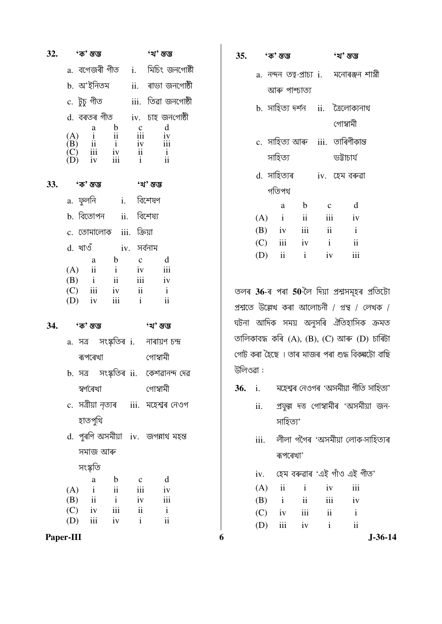| $32.$ 'ক' স্তম্ভ                                                                                                                                                 | 'খ' স্তম্ভ                              |
|------------------------------------------------------------------------------------------------------------------------------------------------------------------|-----------------------------------------|
|                                                                                                                                                                  | a. বগেজৰী গীত   i.   মিচিং জনগোষ্টী     |
|                                                                                                                                                                  | b. অ'ইনিতম ii. ৰাভা জনগোষ্ঠী            |
|                                                                                                                                                                  |                                         |
|                                                                                                                                                                  | d. বৰতৰ গীত     iv.  চাহ জনগোষ্ঠী       |
| (A) $\begin{array}{ccc} & a & b & c & d \\ (A) & i & ii & iii & iv \\ (B) & ii & i & iv & iii \\ (C) & iii & iv & ii & i \\ (D) & iv & iii & i & ii \end{array}$ |                                         |
|                                                                                                                                                                  |                                         |
|                                                                                                                                                                  |                                         |
| 33. 'ক' স্তম্ভ                                                                                                                                                   | 'খ' স্তম্ভ                              |
| a. ফুলনি  i. বিশেষণ                                                                                                                                              |                                         |
| b. বিতোপন ii. বিশেষ্য                                                                                                                                            |                                         |
| c. তোমালোক iii. ক্রিয়া                                                                                                                                          |                                         |
| d. খাওঁ   iv. সৰ্বনাম                                                                                                                                            |                                         |
|                                                                                                                                                                  | $a$ b $c$ d                             |
| (A) $\overrightarrow{ii}$ i iv $\overrightarrow{iii}$<br>(B) i ii iii iv (C) iii iv ii i                                                                         |                                         |
|                                                                                                                                                                  |                                         |
| $(D)$ iv iii i                                                                                                                                                   | $\overline{\mathbf{u}}$                 |
| 34. 'ক' স্তম্ভ                                                                                                                                                   | 'খ' ম্ভম্ভ                              |
| a. সত্ৰ সংস্কৃতিৰ i. নাৰায়ণ চন্দ্ৰ                                                                                                                              |                                         |
| ৰূপৰেখা                                                                                                                                                          | গোস্বামী                                |
|                                                                                                                                                                  | b. সত্ৰ  সংস্কৃতিৰ ii.  কেশৱানন্দ দেৱ   |
| স্বৰ্ণৰেখা                                                                                                                                                       | গোস্বামী                                |
|                                                                                                                                                                  | c. সত্ৰীয়া নৃত্যৰ   iii.  মহেশ্বৰ নেওগ |
| হাতপুথি                                                                                                                                                          |                                         |
|                                                                                                                                                                  | d. পুৰণি অসমীয়া iv. জগন্নাথ মহন্ত      |
| সমাজ আৰু                                                                                                                                                         |                                         |
| সংস্কৃতি                                                                                                                                                         |                                         |
| $\mathbf b$<br>a                                                                                                                                                 | d<br>$\mathbf{C}$                       |
| $i$ $ii$<br>(A)<br>$(B)$ ii i                                                                                                                                    | iii<br>iv<br>iii<br>iv                  |
| $(C)$ iv iii                                                                                                                                                     | $\overline{\mathbf{u}}$<br>$\mathbf{i}$ |
| (D) $iii$ iv $i$                                                                                                                                                 | $\mathbf{ii}$                           |

|          | 'ক' স্তম্ভ    |                                              |                          | 'খ' স্তম্ভ    |                     |
|----------|---------------|----------------------------------------------|--------------------------|---------------|---------------------|
|          |               | a. নন্দন তত্ব-প্ৰাচ্য i.   মনোৰঞ্জন শাস্ত্ৰী |                          |               |                     |
|          |               | আৰু পাশ্চাত্য                                |                          |               |                     |
|          |               | b. সাহিত্য দৰ্শন   ii.   ত্ৰৈলোক্যনাথ        |                          |               |                     |
|          |               |                                              |                          | গোস্বামী      |                     |
|          |               | c. সাহিত্য আৰু  iii.  তাৰিণীকান্ত            |                          |               |                     |
|          | সাহিত্য       |                                              |                          | ডট্টাচাৰ্য    |                     |
|          | d. সাহিত্যৰ   |                                              |                          | iv. হেম বৰুৱা |                     |
|          | গতিপথ         |                                              |                          |               |                     |
|          | a             | $\mathbf b$                                  | $\mathbf{C}$             |               | d                   |
| (A)      | $\mathbf{i}$  | $\overline{\mathbf{ii}}$                     | iii                      | iv            |                     |
| $(B)$ iv |               | $\overline{\mathbf{iii}}$                    | $\overline{\mathbf{ii}}$ |               | $\mathbf{i}$        |
|          | $(C)$ iii     | iv                                           | $\mathbf{i}$             |               | $\ddot{\mathbf{i}}$ |
| (D)      | $\mathbf{ii}$ | $\mathbf{i}$                                 | iv                       |               | iii                 |

35.

তলৰ 36-ৰ পৰা 50-লৈ দিয়া প্ৰশ্নসমূহৰ প্ৰতিটো প্ৰশ্নতে উল্লেখ কৰা আলোচনী / গ্ৰন্থ / লেখক / ঘটনা আদিক সময় অনুসৰি ঐতিহাসিক ক্ৰমত তালিকাবদ্ধ কৰি  $(A)$ ,  $(B)$ ,  $(C)$  আৰু  $(D)$  চাৰিটা গোট কৰা হৈছে । তাৰ মাজৰ পৰা শুদ্ধ বিকৰ্নটো বাছি উলিওৱা:

- $36.$  i. মহেশ্বৰ নেওগৰ 'অসমীয়া গীতি সাহিত্য'
	- প্ৰফুল্ল দত্ত গোস্বামীৰ 'অসমীয়া জনii. সাহিত্য'
	- লীলা গগৈৰ 'অসমীয়া লোক-সাহিত্যৰ iii. ৰূপৰেখা'
	- iv. হেম বৰুৱাৰ 'এই গাঁও এই গীত'

| (A)      | - 11         | i.            | iv  | iii |
|----------|--------------|---------------|-----|-----|
| (B)      | $\mathbf{i}$ | $\mathbf{ii}$ | iii | iv  |
| $(C)$ iv |              | iii           | ii  | i   |
| (D)      | iii          | iv            | i.  | ij  |

Paper-III

6

 $J - 36 - 14$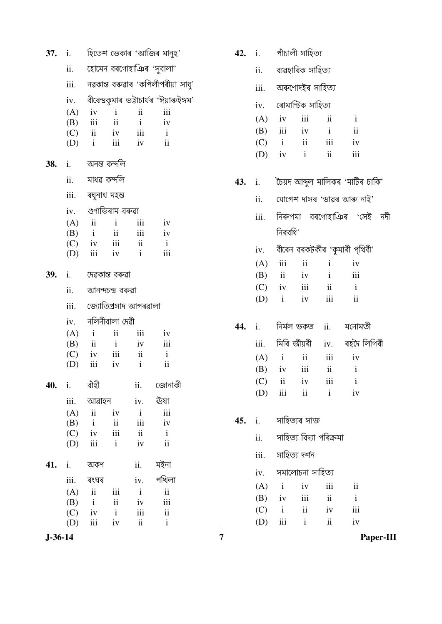|               | <b>37.</b> i. |                          |                     |                                                | হিতেশ ভেকাৰ 'আজিৰ মানুহ'                     |  |
|---------------|---------------|--------------------------|---------------------|------------------------------------------------|----------------------------------------------|--|
|               |               |                          |                     | ii. হোমেন বৰগোহাঞিৰ 'সুবালা'                   |                                              |  |
|               |               |                          |                     |                                                | iii.     নৱকান্ত বৰুৱাৰ 'কপিলীপৰীয়া সাধু'   |  |
|               |               |                          |                     |                                                | iv. বীৰেন্দ্ৰকুমাৰ ভট্টাচাৰ্যৰ 'ঈয়াৰুইঙ্গম' |  |
|               | (A)           | iv                       | $\mathbf{i}$        | ii                                             | iii                                          |  |
|               |               | $(B)$ iii<br>$(C)$ ii iv | ii                  | $\mathbf{i}$<br>$iii -$                        | iv                                           |  |
|               | (D)           | $\mathbf{i}$             | iii                 | iv                                             | $\mathbf{i}$<br>$\ddot{\mathbf{i}}$          |  |
| 38.           |               | i.        অনন্ত কন্দলি   |                     |                                                |                                              |  |
|               |               | ii. মাধৱ কন্দলি          |                     |                                                |                                              |  |
|               |               | iii. ৰঘুনাথ মহন্ত        |                     |                                                |                                              |  |
|               |               | iv.     গুণাভিৰাম বৰুৱা  |                     |                                                |                                              |  |
|               |               | $(A)$ ii                 | $\mathbf{i}$        | iii                                            | iv                                           |  |
|               |               | $(B)$ i                  | $\ddot{\mathbf{i}}$ | iii                                            | iv                                           |  |
|               |               | $(C)$ iv<br>$(D)$ iii    | iii<br>iv           | $\overrightarrow{\mathbf{ii}}$<br>$\mathbf{i}$ | $\mathbf{i}$<br>iii                          |  |
|               |               |                          |                     |                                                |                                              |  |
| <b>39.</b>    |               | i. দেৱকান্ত বৰুৱা        |                     |                                                |                                              |  |
|               |               | ii. আনন্দচন্দ্ৰ বৰুৱা    |                     |                                                |                                              |  |
|               |               |                          |                     | iii.     জ্যোতিপ্ৰসাদ আগৰৱালা                  |                                              |  |
|               |               | $iv.$ নলিনীবালা দেৱী     |                     |                                                |                                              |  |
|               | (A)           | $\mathbf{i}$             | $\ddot{\textbf{i}}$ | iii                                            | iv                                           |  |
|               |               | $(B)$ ii                 | $\rm i$             | iv                                             | iii                                          |  |
|               | (D)           | $(C)$ iv iii ii<br>iii   | iv                  | $\mathbf{i}$                                   | $\mathbf{i}$<br>ii                           |  |
|               |               |                          |                     |                                                |                                              |  |
| 40.           | i.            | বাঁহী                    |                     | ii.                                            | জোনাকী                                       |  |
|               |               | iii. আৱাহন               |                     | iv.                                            | ঊষা                                          |  |
|               | $(A)$ ii      |                          | iv                  | $\mathbf{i}$                                   | iii                                          |  |
|               | (B)           | $\mathbf{i}$             | ii                  | iii                                            | iv                                           |  |
|               |               | $(C)$ iv<br>iii          | iii<br>$\mathbf{i}$ | ii<br>iv                                       | $\mathbf{i}$<br>ii                           |  |
|               | (D)           |                          |                     |                                                |                                              |  |
| 41.           | i.            | অকণ                      |                     | ii.                                            | মইনা                                         |  |
|               | iii.          | ৰংঘৰ                     |                     | iv.                                            | পখিলা                                        |  |
|               | (A)           | ii                       | iii                 | $\mathbf{i}$                                   | $\mathbf{ii}$                                |  |
|               | $(B)$ i       |                          | ii                  | iv                                             | iii                                          |  |
|               |               | $(C)$ iv<br>iii          | $\mathbf{i}$        | iii<br>$\ddot{i}$                              | $\ddot{\rm ii}$<br>$\mathbf{i}$              |  |
|               | (D)           |                          | iv                  |                                                |                                              |  |
| $J - 36 - 14$ |               |                          |                     |                                                |                                              |  |

 $\overline{7}$ 

|     |     |                          | $42.$ i. পাঁচালী সাহিত্য         |                          |                                             |  |  |  |
|-----|-----|--------------------------|----------------------------------|--------------------------|---------------------------------------------|--|--|--|
|     |     |                          | ii.       ব্যৱহাৰিক সাহিত্য      |                          |                                             |  |  |  |
|     |     | iii.    অৰুণোদইৰ সাহিত্য |                                  |                          |                                             |  |  |  |
|     |     |                          | iv.     ৰোমান্টিক সাহিত্য        |                          |                                             |  |  |  |
|     |     | $(A)$ iv                 | iii                              | $\mathbf{ii}$            | i                                           |  |  |  |
|     |     |                          | $(B)$ iii iv i                   |                          | $\mathbf{ii}$                               |  |  |  |
|     |     |                          | $(C)$ i ii iii                   |                          | iv                                          |  |  |  |
|     |     |                          | (D) $iv$ $i$ $ii$                |                          | iii                                         |  |  |  |
| 43. | i.  |                          |                                  |                          | চৈয়দ আব্দুল মালিকৰ 'মাটিৰ চাকি'            |  |  |  |
|     | ii. |                          |                                  |                          | যোগেশ দাসৰ 'ডাৱৰ আৰু নাই'                   |  |  |  |
|     |     |                          |                                  |                          | iii. নিৰুপমা বৰগোহাঞিৰ 'সেই নদী             |  |  |  |
|     |     | নিৰবধি'                  |                                  |                          |                                             |  |  |  |
|     |     |                          |                                  |                          | $iv.$ বীৰেন বৰকটকীৰ 'কুমাৰী পৃথিবী'         |  |  |  |
|     |     | $(A)$ iii                | $\overline{\mathbf{u}}$          | $\mathbf{i}$             | iv                                          |  |  |  |
|     |     |                          | $(B)$ ii iv i                    |                          | iii                                         |  |  |  |
|     |     |                          | $(C)$ iv iii                     | $\ddot{\mathbf{i}}$      | $\mathbf{i}$                                |  |  |  |
|     |     |                          | $(D)$ i iv                       | iii                      | $\overline{\mathbf{ii}}$                    |  |  |  |
|     |     |                          |                                  |                          | 44. i. নিৰ্মল ভকত ii. মনোমতী                |  |  |  |
|     |     |                          |                                  |                          | iii.    মিৰি জীয়ৰী     iv.     ৰহদৈ লিগিৰী |  |  |  |
|     |     | $(A)$ i                  | $\mathbf{ii}$                    | iii                      | iv                                          |  |  |  |
|     |     |                          | $(B)$ iv iii ii                  |                          | i                                           |  |  |  |
|     |     |                          | $(C)$ ii iv                      |                          | $iii$ $i$                                   |  |  |  |
|     |     |                          | $(D)$ iii ii i                   |                          | iv                                          |  |  |  |
|     |     |                          | <b>45.</b> i.       সাহিত্যৰ সাজ |                          |                                             |  |  |  |
|     |     |                          | ii. সাহিত্য বিদ্যা পৰিক্ৰমা      |                          |                                             |  |  |  |
|     |     | iii. সাহিত্য দৰ্শন       |                                  |                          |                                             |  |  |  |
|     |     |                          | iv.      সমালোচনা সাহিত্য        |                          |                                             |  |  |  |
|     |     | $(A)$ i iv               |                                  | iii                      | $\mathbf{ii}$                               |  |  |  |
|     |     | $(B)$ iv iii             |                                  | $\overline{\mathbf{ii}}$ | $\mathbf{i}$                                |  |  |  |
|     |     |                          | $(C)$ i ii iv                    |                          | iii                                         |  |  |  |
|     |     | $(D)$ iii i              |                                  | $\ddot{\mathbf{i}}$      | iv                                          |  |  |  |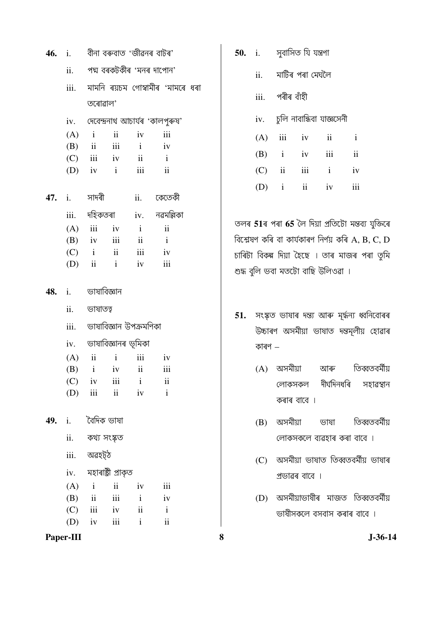|           |  | $46.$ i. বীনা বৰুবাত 'জীৱনৰ বাটৰ' |  |            |                                          |
|-----------|--|-----------------------------------|--|------------|------------------------------------------|
|           |  |                                   |  |            | ii. পদ্ম বৰকটকীৰ 'মনৰ দাপোন'             |
|           |  |                                   |  |            | iii.     মামনি  ৰয়চম  গোস্বামীৰ  'মামৰে |
|           |  | তৰোৱাল'                           |  |            |                                          |
|           |  |                                   |  |            | iv. দেবেন্দ্ৰনাথ আচাৰ্যৰ 'কালপুৰুষ'      |
|           |  | $(A)$ i ii iv                     |  |            | iii                                      |
|           |  | $(B)$ ii iii i iv                 |  |            |                                          |
|           |  | $(C)$ iii iv ii i                 |  |            |                                          |
|           |  | $(D)$ iv i iii ii                 |  |            |                                          |
|           |  |                                   |  |            | 47. i.  সাদৰী ii. কেতেকী                 |
|           |  |                                   |  |            | iii. দহিকতৰা iv. নৱমল্লিকা               |
|           |  | $(A)$ iii iv i                    |  |            | $\ddot{\mathbf{i}}$                      |
|           |  | $(B)$ iv iii ii i                 |  |            |                                          |
|           |  | $(C)$ i ii iii iv                 |  |            |                                          |
|           |  | $(D)$ ii i iv iii                 |  |            |                                          |
|           |  | $48.$ i. $\qquad$ ভাষাবিজ্ঞান     |  |            |                                          |
|           |  | ii. ভাষাতত্ব                      |  |            |                                          |
|           |  | iii.    ভাষাবিজ্ঞান উপক্ৰমণিকা    |  |            |                                          |
|           |  | iv.     ভাষাবিজ্ঞানৰ ভূমিকা       |  |            |                                          |
|           |  | $(A)$ ii ii iii iv                |  |            |                                          |
|           |  | $(B)$ i iv ii                     |  |            | iii                                      |
|           |  | $(C)$ iv iii i                    |  |            | $\mathbf{ii}$                            |
|           |  | $(D)$ iii ii iv                   |  |            | $\mathbf{i}$                             |
| 49.       |  | i. বৈদিক ভাষা                     |  |            |                                          |
|           |  | ii. কথ্য সংস্কৃত                  |  |            |                                          |
|           |  | iii. অৱহট্ঠ                       |  |            |                                          |
|           |  | iv. মহাৰাষ্ট্ৰী প্ৰাকৃত           |  |            |                                          |
|           |  | $(A)$ i ii iv                     |  |            | iii                                      |
|           |  | $(B)$ ii                          |  | $iii \t i$ | iv                                       |
|           |  | $(C)$ iii iv ii                   |  |            | $\mathbf{i}$                             |
|           |  | (D) iv iii i                      |  |            | $\rm ii$                                 |
| Paper-III |  |                                   |  |            |                                          |

|     | $50.$ i. $\frac{1}{2}$ সুবাসিত যি যন্ত্রণা |                        |                     |               |
|-----|--------------------------------------------|------------------------|---------------------|---------------|
| ii. | মাটিৰ পৰা মেঘলৈ<br>iii. পৰীৰ বাঁহী         |                        |                     |               |
|     |                                            |                        |                     |               |
|     | iv.     চুলি নাবান্ধিবা যাজ্ঞসেনী          |                        |                     |               |
|     | $(A)$ iii iv                               |                        | $\ddot{\mathbf{i}}$ | $\mathbf{i}$  |
| (B) |                                            | <i>i</i> iv <i>iii</i> |                     | $\mathbf{ii}$ |
|     | $(C)$ ii iii                               |                        | $\mathbf{i}$        | iv            |
| (D) | $\mathbf{i}$                               | $\mathbf{ii}$          | iv                  | iii           |

ধৰা

তলৰ 51ৰ পৰা 65 লৈ দিয়া প্ৰতিটো মন্তব্য যুক্তিৰে বিশ্লেষণ কৰি বা কাৰ্যকাৰণ নিৰ্ণয় কৰি  $A, B, C, D$ চাৰিটা বিকল্প দিয়া হৈছে । তাৰ মাজৰ পৰা তুমি শুদ্ধ বুলি ভবা মতটো বাছি উলিওৱা ।

- 51. সংস্কৃত ভাষাৰ দন্ত্য আৰু মূৰ্দ্ধন্য ধ্বনিবোৰৰ উচ্চাৰণ অসমীয়া ভাষাত দ্নস্ত লীয় হোৱাৰ কাৰণ  $-$ 
	- তিব্বতবৰ্মীয় (A) অসমীয়া আৰু দীৰ্ঘদিনধৰি লোকসকল সহাৱস্থান কৰাৰ বাবে ।
	- $(B)$  অসমীয়া তিব্বতবৰ্মীয় ভাষা লোকসকলে ব্যৱহাৰ কৰা বাবে ।
	- (C) অসমীয়া ভাষাত তিব্বতবৰ্মীয় ভাষাৰ প্ৰভাৱৰ বাবে ।
	- (D) অসমীয়াভাষীৰ মাজত তিব্বতবৰ্মীয় ভাষীসকলে বসবাস কৰাৰ বাবে ।

 $J - 36 - 14$ 

8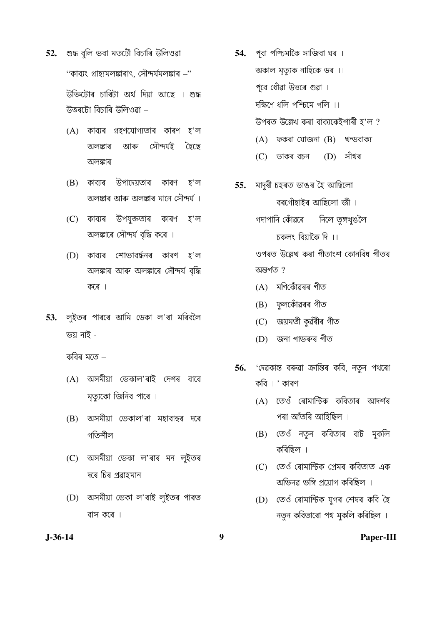- 52. শুদ্ধ বুলি ভবা মতটৌ বিচাৰি উলিওৱা "কাব্যং গ্ৰাহ্যমলঙ্কাৰাৎ, সৌন্দৰ্যমলঙ্কাৰ –" উক্তিটোৰ চাৰিটা অৰ্থ দিয়া আছে । শুদ্ধ উত্তৰটো বিচাৰি উলিওৱা –
	- (A) কাব্যৰ গ্ৰহণযোগ্যতাৰ কাৰণ হ'ল আৰু সৌন্দৰ্যই ক্টেছে অলঙ্কাৰ অলঙ্কাৰ
	- (B) কাব্যৰ উপাদেয়তাৰ কাৰণ হ'ল অলঙ্কাৰ আৰু অলঙ্কাৰ মানে সৌন্দৰ্য ।
	- উপযুক্ততাৰ কাৰণ (C) কাব্যৰ হ'ল অলঙ্কাৰে সৌন্দৰ্য বৃদ্ধি কৰে ।
	- (D) কাব্যৰ শোভাবৰ্দ্ধনৰ কাৰণ হ'ল অলঙ্কাৰ আৰু অলঙ্কাৰে সৌন্দৰ্য বৃদ্ধি কৰে ।
- 53. লুইতৰ পাৰৰে আমি ডেকা ল'ৰা মৰিবলৈ ভয় নাই -

কবিৰ মতে –

- (A) অসমীয়া ভেকাল'ৰাই দেশৰ বাবে মৃত্যুকো জিনিব পাৰে ।
- (B) অসমীয়া ভেকাল'ৰা মহাবাহুৰ দৰে গতিশীল
- (C) অসমীয়া ভেকা ল'ৰাৰ মন লুইতৰ দৰে চিৰ প্ৰৱাহমান
- (D) অসমীয়া ভেকা ল'ৰাই লুইতৰ পাৰত বাস কৰে ।

9

- পূবা পশ্চিমাকৈ সাজিবা ঘৰ । 54. অকাল মৃত্যুক নাহিকে ডৰ ।। পূবে ধোঁৱা উত্তৰে গুৱা । দক্ষিণে ধলি পশ্চিমে গলি ।। উপৰত উল্লেখ কৰা বাক্যকেইশাৰী হ'ল ?  $(A)$  ফকৰা যোজনা  $(B)$  খন্ডবাক্য  $(D)$  সাঁথৰ (C) ডাকৰ বচন
- মাদুৰী চহৰত ডাঙৰ হৈ আছিলো 55. বৰগোঁহাইৰ আছিলো জী । গদাপানি কোঁৱৰে নিলে তৃঙ্গখুঙলৈ চকলং বিয়াকৈ দি $\,$ ।। ওপৰত উল্লেখ কৰা গীতাংশ কোনবিধ গীতৰ অন্তৰ্গত ?
	- (A) মণিকোঁৱৰৰ গীত
	- (B) ফুলকোঁৱৰৰ গীত
	- (C) জয়মতী কুৱঁৰীৰ গীত
	- (D) জনা গাভৰুৰ গীত
- 'দেৱকান্ত বৰুৱা ক্ৰান্তিৰ কবি, নতুন পথৰো 56. কবি । ' কাৰণ
	- (A) তেওঁ ৰোমান্টিক কবিতাৰ আদৰ্শৰ পৰা আঁতৰি আহিছিল ।
	- (B) তেওঁ নতুন কবিতাৰ বাট মুকলি কৰিছিল ।
	- (C) তেওঁ ৰোমান্টিক প্ৰেমৰ কবিতাত এক অভিনৱ ভঙ্গি প্ৰয়োগ কৰিছিল ।
	- (D) তেওঁ ৰোমান্টিক যুগৰ শেষৰ কবি হৈ নতুন কবিতাৰো পথ মুকলি কৰিছিল ।

### $J-36-14$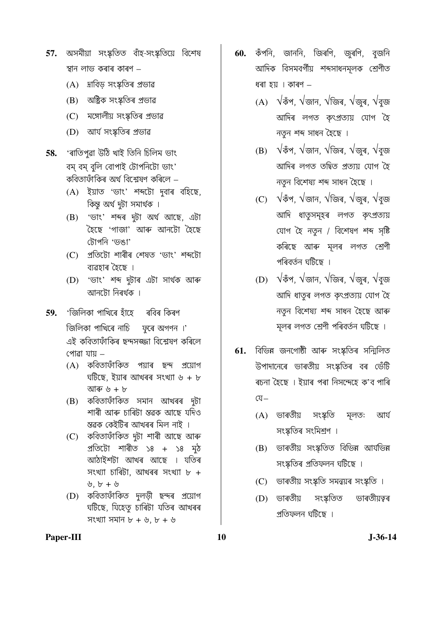- 57. অসমীয়া সংস্কৃতিত বাঁহ-সংস্কৃতিয়ে বিশেষ স্থান লাভ কৰাৰ কাৰণ –
	- (A) দ্ৰাবিড় সংস্কৃতিৰ প্ৰভাৱ
	- (B) অষ্ট্ৰিক সংস্কতিৰ প্ৰভাৱ
	- (C) মঙ্গোলীয় সংস্কৃতিৰ প্ৰভাৱ
	- (D) আৰ্য সংস্কৃতিৰ প্ৰভাৱ
- 'ৰাতিপুৱা উঠি খাই তিনি চিলিম ভাং 58. বম বম বলি বোপাই টোপনিটো ভাং' কবিতাফাঁকিৰ অৰ্থ বিশ্লেষণ কৰিলে –
	- (A) ইয়াত 'ভাং' শব্দটো দবাৰ বহিছে, কিন্তু অৰ্থ দুটা সমাৰ্থক ।
	- $(B)$  'ভাং' শব্দৰ দুটা অৰ্থ আছে, এটা হৈছে 'গাজা' আৰু আনটো হৈছে টোপনি 'ভঙা'
	- (C) প্ৰতিটো শাৰীৰ শেষত 'ভাং' শব্দটো ব্যৱহাৰ হৈছে ।
	- (D) 'ডাং' শব্দ দুটাৰ এটা সাৰ্থক আৰু আনটো নিৰৰ্থক ।
- 'জিলিকা পাখিৰে হাঁহে ৰবিৰ কিৰণ 59.

জিলিকা পাখিৰে নাচি ফৰে অগণন।' এই কবিতাফাঁকিৰ ছন্দসজ্জা বিশ্লেষণ কৰিলে পোৱা যায –

- (A) কবিতাফাঁকিত পয়াৰ ছন্দ প্ৰয়োগ ঘটিছে, ইয়াৰ আখৰৰ সংখ্যা ৬ + ৮ আৰু ৬ + ৮
- (B) কবিতাফাঁকিত সমান আখৰৰ দুটা শাৰী আৰু চাৰিটা স্তৱক আছে যদিও স্তৱক কেইটিৰ আখৰৰ মিল নাই ।
- (C) কবিতাফাঁকিত দুটা শাৰী আছে আৰু প্ৰতিটো শাৰীত ১৪ + ১৪ মুঠ আঠাইশটা আখৰ আছে । যতিৰ সংখ্যা চাৰিটা, আখৰৰ সংখ্যা ৮ +  $\n **b** + **b**\n$
- (D) কবিতাফাঁকিত দুলড়ী ছন্দৰ প্ৰয়োগ ঘটিছে, যিহেতু চাৰিটা যতিৰ আখৰৰ সংখ্যা সমান  $b + b$ ,  $b + b$
- 60. কঁপনি, জাননি, জিৰণি, জুৰণি, বুজনি আদিক বিসমবর্গীয় শব্দসাধনমূলক শ্রেণীত ধৰা হয় । কাৰণ -
	- (A)  $\sqrt{3}$ পঁপ,  $\sqrt{3}$ ান,  $\sqrt{3}$ জিৰ,  $\sqrt{3}$ জুৰ,  $\sqrt{3}$ জ আদিৰ লগত কৎপ্ৰত্যয় যোগ হৈ নতুন শব্দ সাধন হৈছে ।
	- (B)  $\sqrt{3}$ পঁপ,  $\sqrt{3}$ ান,  $\sqrt{3}$ জিৰ,  $\sqrt{3}$ জুৰ,  $\sqrt{3}$ জ আদিৰ লগত তদ্বিত প্ৰত্যয় যোগ হৈ নতুন বিশেষ্য শব্দ সাধন হৈছে ।
	- (C)  $\sqrt{3}$ পঁপ,  $\sqrt{3}$ ান,  $\sqrt{3}$ জিৰ,  $\sqrt{3}$ জুৰ,  $\sqrt{3}$ জ আদি ধাতৃসমূহৰ লগত কৃৎপ্ৰত্যয় যোগ হৈ নতুন / বিশেষণ শব্দ সৃষ্টি কৰিছে আৰু মূলৰ লগত শ্ৰেণী পৰিবৰ্তন ঘটিছে ।
	- (D)  $\sqrt{3}$ পঁ,  $\sqrt{3}$ ান,  $\sqrt{3}$ জিৰ,  $\sqrt{3}$ জুৰ,  $\sqrt{3}$ জ আদি ধাতৃৰ লগত কৎপ্ৰত্যয় যোগ হৈ নতুন বিশেষ্য শব্দ সাধন হৈছে আৰু মূলৰ লগত শ্ৰেণী পৰিবৰ্তন ঘটিছে ।
- 61. বিভিন্ন জনগোষ্ঠী আৰু সংস্কৃতিৰ সন্মিলিত উপাদানেৰে ভাৰতীয় সংস্কতিৰ বৰ ভেঁটি ৰচনা হৈছে । ইয়াৰ পৰা নিসন্দেহে ক'ব পাৰি  $\mathbb{Q}^-$ 
	- (A) ভাৰতীয় সংস্কৃতি মলত: আৰ্য সংস্কৃতিৰ সংমিশ্ৰণ ।
	- (B) ভাৰতীয় সংস্কৃতিত বিভিন্ন আৰ্যভিন্ন সংস্কৃতিৰ প্ৰতিফলন ঘটিছে ।
	- (C) ভাৰতীয় সংস্কৃতি সমন্বয়ৰ সংস্কৃতি ।
	- (D) ভাৰতীয় সংস্কৃতিত ভাৰতীয়ত্বৰ প্ৰতিফলন ঘটিছে ।

Paper-III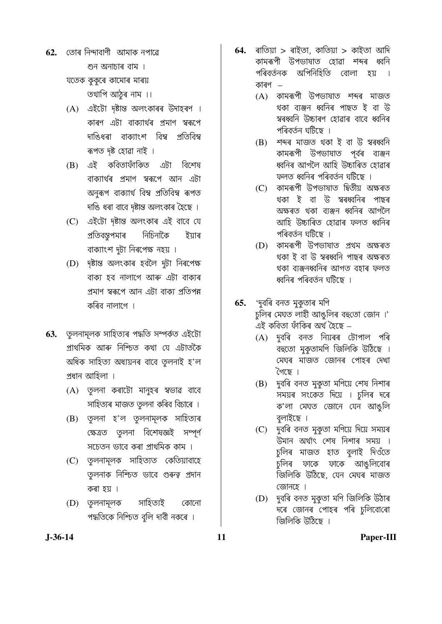তোৰ নিন্দাবাণী আমাক নপাৱে 62. শুন অনাচাৰ বাম । যতেক ককৰে কামোৰ মাৰয়

তথাপি আঠুৰ নাম ।।

- (A) এইটো দৃষ্টান্ত অলংকাৰৰ উদাহৰণ । কাৰণ এটা বাক্যাৰ্থৰ প্ৰমাণ স্বৰূপে দাঙিধৰা বাক্যাংশ বিম্ব প্ৰতিবিম্ব ৰূপত দৃষ্ট হোৱা নাই ।
- এই কবিতাফাঁকিত বিশেষ এটা (B) বাক্যাৰ্থৰ প্ৰমাণ স্বৰূপে আন এটা অনৰূপ বাক্যাৰ্থ বিম্ব প্ৰতিবিম্ব ৰূপত দাঙি ধৰা বাবে দৃষ্টান্ত অলংকাৰ হৈছে ।
- (C) এইটো দৃষ্টান্ত অলংকাৰ এই বাবে যে নিচিনাকৈ প্ৰতিবন্তুপমাৰ ইয়াৰ বাক্যাংশ দুটা নিৰপেক্ষ নহয় ।
- (D) দৃষ্টান্ত অলংকাৰ হবলৈ দুটা নিৰপেক্ষ বাক্য হব নালাগে আৰু এটা বাক্যৰ প্ৰমাণ স্বৰূপে আন এটা বাক্য প্ৰতিপন্ন কৰিব নালাগে ।
- **63.** তুলনামূলক সাহিত্যৰ পদ্ধতি সম্পৰ্কত এইটো প্ৰাথমিক আৰু নিশ্চিত কথা যে এটাতকৈ অধিক সাহিত্য অধ্যয়নৰ বাবে তুলনাই হ'ল প্ৰধান আহিলা ।
	- (A) তুলনা কৰাটো মানুহৰ স্বভাৱ বাবে সাহিত্যৰ মাজত তৃলনা কৰিব বিচাৰে ।
	- (B) তুলনা হ'ল তুলনামূলক সাহিত্যৰ ক্ষেত্ৰত তুলনা বিশেষজ্ঞই সম্পূৰ্ণ সচেতন ভাবে কৰা প্ৰাথমিক কাম ।
	- (C) তুলনামূলক সাহিত্যত কেতিয়াবাহে ত়লনাক নিশ্চিত ভাবে গুৰুত্ব প্ৰদান কৰা হয় ।
	- সাহিত্যই (D) তুলনামূলক কোনো পদ্ধতিকে নিশ্চিত বুলি দাবী নকৰে ।
- 64. ৰাতিয়া > ৰাইতা, কাতিয়া > কাইতা আদি কামৰূপী উপভাষাত হোৱা শব্দৰ ধবনি পৰিবৰ্তনক অপিনিহিতি বোলা চয় কাৰণ  $-$ 
	- (A) কামৰূপী উপভাষাত শব্দৰ মাজত থকা ব্যঞ্জন ধ্বনিৰ পাছত ই বা উ স্বৰধ্বনি উচ্চাৰণ হোৱাৰ বাবে ধ্বনিৰ পৰিবৰ্তন ঘটিছে ।
	- (B) শব্দৰ মাজত থকা ই বা উ স্বৰধ্বনি কামৰূপী উপভাষাত পূৰ্বৰ ব্যঞ্জন ধ্বনিৰ আগলৈ আহি উচ্চাৰিত হোৱাৰ ফলত ধ্বনিৰ পৰিবৰ্তন ঘটিছে ।
	- কামৰূপী উপভাষাত দ্বিতীয় অক্ষৰত  $(C)$ থকা ই বা উ স্বৰধ্বনিৰ পাছৰ অক্ষৰত থকা ব্যঞ্জন ধ্বনিৰ আগলৈ আহি উচ্চাৰিত হোৱাৰ ফলত ধ্বনিৰ পৰিবৰ্তন ঘটিছে ।
	- কামৰূপী উপভাষাত প্ৰথম অক্ষৰত  $(D)$ থকা ই বা উ স্বৰধ্বনি পাছৰ অক্ষৰত থকা ব্যঞ্জনধ্বনিৰ আগত বহাৰ ফলত ধ্বনিৰ পৰিবৰ্তন ঘটিছে ।
- 65. 'দুবৰি বনত মুকুতাৰ মণি চুলিৰ মেঘত লাহী আঙুলিৰ বহুতো জোন ।' এই কবিতা ফাঁকিৰ অৰ্থ হৈছে –
	- দবৰি বনত নিয়ৰৰ টোপাল পৰি  $(A)$ বহুতো মুকুতামণি জিলিকি উঠিছে । মেঘৰ মাজত জোনৰ পোহৰ দেখা ৈছে ।
	- (B) দুবৰি বনত মুকুতা মণিয়ে শেষ নিশাৰ সময়ৰ সংকেত দিয়ে । চুলিৰ দৰে ক'লা মেঘত জোনে যেন আঙুলি বলাইছে ।
	- (C) দুবৰি বনত মুকুতা মণিয়ে দিয়ে সময়ৰ উমান অৰ্থাৎ শেষ নিশাৰ সময় । চুলিৰ মাজত হাত বুলাই দিওঁতে চুলিৰ ফাকে ফাকে আঙুলিবোৰ জিলিকি উঠিছে, যেন মেঘৰ মাজত জোনহে ।
	- (D) দুবৰি বনত মুকতা মণি জিলিকি উঠাৰ দৰে জোনৰ পোহৰ পৰি চুলিবোৰো জিলিকি উঠিছে ।

 $J-36-14$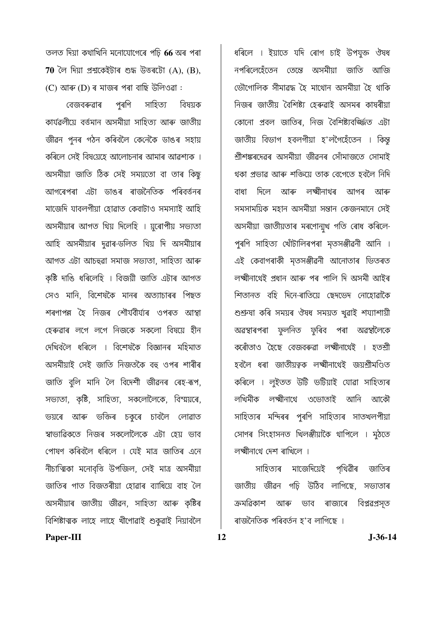তলত দিয়া কথাখিনি মনোযোগেৰে পঢ়ি 66 অৰ পৰা 70 লৈ দিয়া প্ৰশ্নকেইটাৰ শুদ্ধ উত্তৰটো  $(A)$ ,  $(B)$ , (C) আৰু (D) ৰ মাজৰ পৰা বাছি উলিওৱা :

পুৰণি সাহিত্য বেজবৰুৱাৰ বিষয়ক কাৰ্যৱলীয়ে বৰ্ত্তমান অসমীয়া সাহিত্য আৰু জাতীয় জীৱন পুনৰ গঠন কৰিবলৈ কেনেকৈ ডাঙৰ সহায় কৰিলে সেই বিষয়েহে আলোচনাৰ আমাৰ আৱশ্যক । অসমীয়া জাতি ঠিক সেই সময়তো বা তাৰ কিছ আগৰেপৰা এটা ডাঙৰ ৰাজনৈতিক পৰিবৰ্ত্তনৰ মাজেদি যাবলগীয়া হোৱাত কেবাটাও সমস্যাই আহি অসমীয়াৰ আগত থিয় দিলেহি । য়ৰোপীয় সভ্যতা আহি অসমীয়াৰ দুৱাৰ-ডলিত থিয় দি অসমীয়াৰ আগত এটা আচহুৱা সমাজ সভ্যতা, সাহিত্য আৰু কৃষ্টি দাঙি ধৰিলেহি । বিজয়ী জাতি এটাৰ আগত সেও মানি. বিশেষকৈ মানৰ অত্যাচাৰৰ পিছত শৰণাপন্ন হৈ নিজৰ শৌৰ্যবীৰ্য্যৰ ওপৰত আস্থা হেৰুৱাৰ লগে লগে নিজকে সকলো বিষয়ে হীন দেখিবলৈ ধৰিলে । বিশেষকৈ বিজ্ঞানৰ মহিমাত অসমীয়াই সেই জাতি নিজতকৈ বহু ওপৰ শাৰীৰ জাতি বুলি মানি লৈ বিদেশী জীৱনৰ ৰেহ-ৰূপ, সভ্যতা, কৃষ্টি, সাহিত্য, সকলোলৈকে, বিস্ময়ৰে, ভয়ৰে আৰু ভক্তিৰ চকুৰে চাবলৈ লোৱাত স্বাভাৱিকতে নিজৰ সকলোলৈকে এটা হেয় ভাব পোষণ কৰিবলৈ ধৰিলে । যেই মাত্ৰ জাতিৰ এনে নীচাত্মিকা মনোবৃত্তি উপজিল, সেই মাত্র অসমীয়া জাতিৰ গাত বিজতৰীয়া হোৱাৰ ব্যাধিয়ে বাহ লৈ অসমীয়াৰ জাতীয় জীৱন, সাহিত্য আৰু কৃষ্টিৰ বিশিষ্টাত্মক লাহে লাহে খীণোৱাই শুকুৱাই নিয়াবলৈ

ধৰিলে । ইয়াতে যদি ৰোগ চাই উপযুক্ত ঔষধ নপৰিলেহেঁতেন তেন্তে অসমীয়া জাতি আজি ভৌগোলিক সীমাৱদ্ধ হৈ মাথোন অসমীয়া হৈ থাকি নিজৰ জাতীয় বৈশিষ্ট্য হেৰুৱাই অসমৰ কাষৰীয়া কোনো প্ৰবল জাতিৰ, নিজ বৈশিষ্ট্যবৰ্জ্জিত এটা জাতীয় বিভাগ হবলগীয়া হ'লগৈহেঁতেন । কিন্তু শ্ৰীশঙ্কৰদেৱৰ অসমীয়া জীৱনৰ সোঁমাজতে সোমাই থকা প্ৰভাৱ আৰু শক্তিয়ে তাক বেগেতে হবলৈ নিদি বাধা দিলে আৰু লক্ষ্মীনাথৰ আগৰ আৰু সমসাময়িক মহান অসমীয়া সন্তান কেজনমানে সেই অসমীয়া জাতীয়তাৰ মৰণোন্মুখ গতি ৰোধ কৰিলে-পুৰণি সাহিত্য খোঁটালিৰপৰা মৃতসঞ্জীৱনী আনি । এই কেবাগৰাকী মৃতসঞ্জীৱনী আনোতাৰ ভিতৰত লক্ষ্মীনাথেই প্ৰধান আৰু পৰ পালি দি অসমী আইৰ শিতানত বহি দিনে-ৰাতিয়ে ছেদভেদ নোহোৱাকৈ শুশ্ৰুষা কৰি সময়ৰ ঔষধ সময়ত খুৱাই শয্যাশায়ী অৱস্থাৰপৰা ফলনিত ফৰিব পৰা অৱস্থালৈকে কৰোঁতাও হৈছে বেজবৰুৱা লক্ষ্মীনাথেই । হতশ্ৰী হবলৈ ধৰা জাতীয়ত্বক লক্ষ্মীনাথেই জয়শ্ৰীমণ্ডিত কৰিলে । লুইতত উটি ভটিয়াই যোৱা সাহিত্যৰ লখিমীক লক্ষ্মীনাথে ওভোতাই আনি আকৌ সাহিত্যৰ মন্দিৰৰ পুৰণি সাহিত্যৰ সাতখলপীয়া সোণৰ সিংহাসনত খিলঞ্জীয়াকৈ থাপিলে । মুঠতে লক্ষ্মীনাথে দেশ ৰাখিলে ।

সাহিত্যৰ মাজেদিয়েই পথিৱীৰ জাতিৰ জাতীয় জীৱন গঢ়ি উঠিব লাগিছে, সভ্যতাৰ ক্ৰমৱিকাশ আৰু ভাব ৰাজ্যৰে বিপ্লৱপ্ৰসূত ৰাজনৈতিক পৰিবৰ্তন হ'ব লাগিছে ।

Paper-III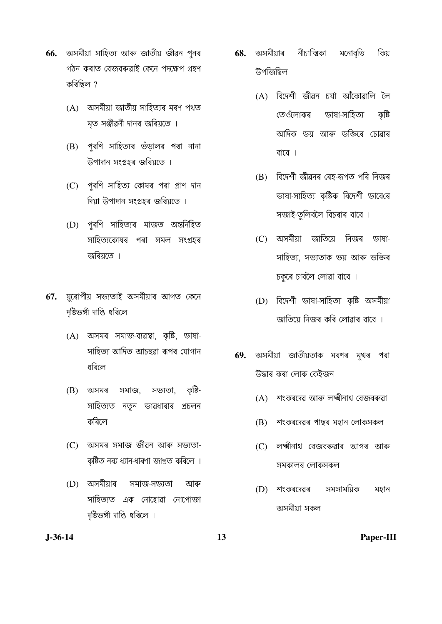- 66. অসমীয়া সাহিত্য আৰু জাতীয় জীৱন পুনৰ গঠন কৰাত বেজবৰুৱাই কেনে পদক্ষেপ গ্ৰহণ কৰিছিল ?
	- (A) অসমীয়া জাতীয় সাহিত্যৰ মৰণ পথত মৃত সঞ্জীৱনী দানৰ জৰিয়তে ।
	- (B) পুৰণি সাহিত্যৰ ভঁড়ালৰ পৰা নানা উপাদান সংগ্ৰহৰ জৰিয়তে ।
	- (C) পুৰণি সাহিত্য কোষৰ পৰা প্ৰাণ দান দিয়া উপাদান সংগ্ৰহৰ জৰিয়তে ।
	- (D) পুৰণি সাহিত্যৰ মাজত অন্তৰ্নিহিত সাহিত্যকোষৰ পৰা সমল সংগ্ৰহৰ জৰিয়তে ।
- য়ুৰোপীয় সভ্যতাই অসমীয়াৰ আগত কেনে 67. দষ্টিভঙ্গী দাঙি ধৰিলে
	- (A) অসমৰ সমাজ-ব্যৱস্থা, কৃষ্টি, ভাষা-সাহিত্য আদিত আচহুৱা ৰূপৰ যোগান ধৰিলে
	- অসমৰ সমাজ, সভ্যতা, কষ্টি-(B) সাহিত্যত নতুন ভাৱধাৰাৰ প্ৰচলন কৰিলে
	- (C) অসমৰ সমাজ জীৱন আৰু সভ্যতা-কৃষ্টিত নব্য ধ্যান-ধাৰণা জাগ্ৰত কৰিলে ।
	- সমাজ-সভ্যতা (D) অসমীয়াৰ আৰু সাহিত্যত এক নোহোৱা নোপোজা দৃষ্টিভঙ্গী দাঙি ধৰিলে ।
- অসমীয়াৰ নীচাত্মিকা মনোবত্তি কিয় 68. উপজিছিল
	- (A) বিদেশী জীৱন চৰ্যা আঁকোৱালি লৈ ভাষা-সাহিত্য তেওঁলোকৰ কৃষ্টি আদিক ভয় আৰু ভক্তিৰে চোৱাৰ বাবে ।
	- বিদেশী জীৱনৰ ৰেহ-ৰূপত পৰি নিজৰ (B) ভাষা-সাহিত্য কৃষ্টিক বিদেশী ভাবেৰে সজাই-তুলিবলৈ বিচৰাৰ বাবে ।
	- (C) অসমীয়া জাতিয়ে নিজৰ ভাষা-সাহিত্য, সভ্যতাক ভয় আৰু ভক্তিৰ চকৰে চাবলৈ লোৱা বাবে ।
	- (D) বিদেশী ভাষা-সাহিত্য কৃষ্টি অসমীয়া জাতিয়ে নিজৰ কৰি লোৱাৰ বাবে ।
- অসমীয়া জাতীয়তাক মৰণৰ মুখৰ পৰা 69. উদ্ধাৰ কৰা লোক কেইজন
	- (A) শংকৰদেৱ আৰু লক্ষ্মীনাথ বেজবৰুৱা
	- (B) শংকৰদেৱৰ পাছৰ মহান লোকসকল
	- (C) লক্ষ্মীনাথ বেজবৰুৱাৰ আগৰ আৰু সমকালৰ লোকসকল
	- $(D)$  শংকৰদেৱৰ সমসাময়িক মহান অসমীয়া সকল

 $J-36-14$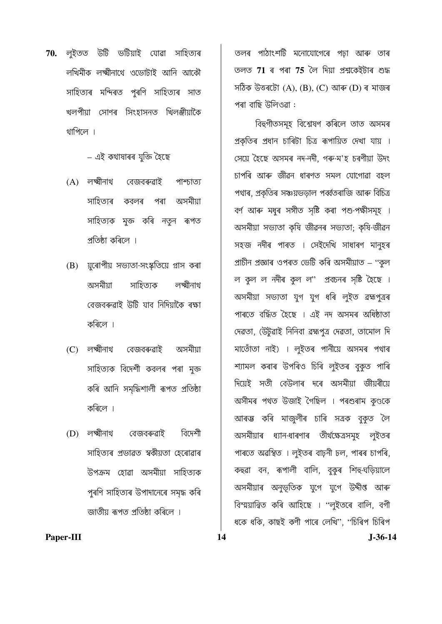**70.** লইতত উটি ভটিয়াই যোৱা সাহিত্যৰ লখিমীক লক্ষ্মীনাথে ওভোটাই আনি আকৌ সাহিত্যৰ মন্দিৰত পুৰণি সাহিত্যৰ সাত খলপীয়া সোণৰ সিংহাসনত খিলঞ্জীয়াকৈ থাপিলে ।

– এই কথাষাৰৰ যুক্তি হৈছে

- $(A)$  লক্ষ্মীনাথ বেজবৰুৱাই **MARIOI** সাহিত্যৰ পৰা অসমীয়া কবলৰ সাহিত্যক মৃক্ত কৰি নত়ন ৰূপত প্ৰতিষ্ঠা কৰিলে ।
- (B) য়ৰোপীয় সভ্যতা-সংস্কৃতিয়ে গ্ৰাস কৰা সাহিত্যক অসমীয়া লক্ষ্মীনাথ বেজবৰুৱাই উটি যাব নিদিয়াকৈ ৰক্ষা কৰিলে ।
- $(C)$  লক্ষ্মীনাথ বেজবৰুৱাই অসমীয়া সাহিত্যক বিদেশী কবলৰ পৰা মুক্ত কৰি আনি সমদ্ধিশালী ৰূপত প্ৰতিষ্ঠা কৰিলে ।
- বিদেশী  $(D)$  লক্ষ্মীনাথ বেজবৰুৱাই সাহিত্যৰ প্ৰভাৱত স্বকীয়তা হেৰোৱাৰ উপক্ৰম হোৱা অসমীয়া সাহিত্যক পুৰণি সাহিত্যৰ উপাদানেৰে সমৃদ্ধ কৰি জাতীয় ৰূপত প্ৰতিষ্ঠা কৰিলে ।

14

তলৰ পাঠাংশটি মনোযোগেৰে পঢ়া আৰু তাৰ তলত 71 ৰ পৰা 75 লৈ দিয়া প্ৰশ্নকেইটাৰ শুদ্ধ সঠিক উত্তৰটো  $(A)$ ,  $(B)$ ,  $(C)$  আৰু  $(D)$  ৰ মাজৰ পৰা বাছি উলিওৱা :

বিহুগীতসমূহ বিশ্লেষণ কৰিলে তাত অসমৰ প্ৰকৃতিৰ প্ৰধান চাৰিটা চিত্ৰ ৰূপায়িত দেখা যায় । সেয়ে হৈছে অসমৰ নদ-নদী, গৰু-ম'হ চৰণীয়া উদং চাপৰি আৰু জীৱন ধাৰণত সমল যোগোৱা বহল পথাৰ, প্ৰকতিৰ সঞ্চয়ভডাল পৰ্ব্বতৰাজি আৰু বিচিত্ৰ বৰ্ণ আৰু মধুৰ সঙ্গীত সৃষ্টি কৰা পশু-পক্ষীসমূহ । অসমীয়া সভ্যতা কৃষি জীৱনৰ সভ্যতা; কৃষি-জীৱন সহজ নদীৰ পাৰত । সেইদেখি সাধাৰণ মানুহৰ প্ৰাচীন প্ৰজ্ঞাৰ ওপৰত ভেটি কৰি অসমীয়াত – ''কুল ল কুল ল নদীৰ কুল ল'' প্ৰবচনৰ সৃষ্টি হৈছে । অসমীয়া সভ্যতা যুগ যুগ ধৰি লুইত ৱহ্মপুত্ৰৰ পাৰতে বৰ্দ্ধিত হৈছে । এই নদ অসমৰ অধিষ্ঠাতা দেৱতা, (উটুৱাই নিনিবা ৱহ্মপুত্ৰ দেৱতা, তামোল দি মাতোঁতা নাই) । লুইতৰ পানীয়ে অসমৰ পথাৰ শ্যামল কৰাৰ উপৰিও চিৰি লুইতৰ বুকৃত পাৰি দিয়েই সতী বেউলাৰ দৰে অসমীয়া জীয়ৰীয়ে অসীমৰ পথত উজাই গৈছিল । পৰশুৰাম কণ্ডকে আৰম্ভ কৰি মাজলীৰ চাৰি সত্ৰক বকত লৈ অসমীয়াৰ ধ্যান-ধাৰণাৰ তীৰ্থক্ষেত্ৰসমুহ লুইতৰ পাৰতে অৱস্থিত । লুইতৰ বাঢ়নী ঢল, পাৰৰ চাপৰি, কহুৱা বন, ৰূপালী বালি, বুকুৰ শিহু-ঘড়িয়ালে অসমীয়াৰ অনুভূতিক যুগে যুগে উদ্দীপ্ত আৰু বিস্ময়ান্বিত কৰি আহিছে । ''লুইতৰে বালি, বগী ধকে ধকি, কাছই কণী পাৰে লেখি", ''চিৰিপ চিৰিপ

Paper-III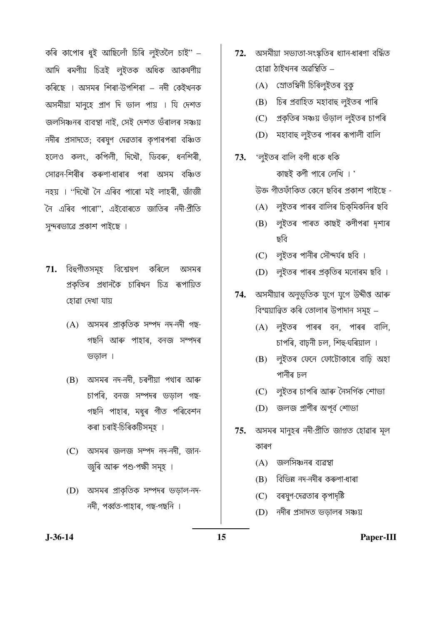কৰি কাপোৰ ধৃই আছিলোঁ চিৰি লুইতলৈ চাই" – আদি ৰমণীয় চিত্ৰই লুইতক অধিক আকৰ্ষণীয় কৰিছে । অসমৰ শিৰা-উপশিৰা – নদী কেইখনক অসমীয়া মানুহে প্রাণ দি ভাল পায় । যি দেশত জলসিঞ্চনৰ ব্যবস্থা নাই, সেই দেশত ভঁৰালৰ সঞ্চয় নদীৰ প্ৰসাদতে; বৰষুণ দেৱতাৰ কৃপাৰপৰা বঞ্চিত হলেও কলং, কপিলী, দিখৌ, ডিবৰু, ধনশিৰী, সোৱন-শিৰীৰ কৰুণা-ধাৰাৰ পৰা অসম বঞ্চিত নহয় । ''দিখৌ নৈ এৰিব পাৰো মই লাহৰী, জাঁজী নৈ এৰিব পাৰো''. এইবোৰতে জাতিৰ নদী-প্ৰীতি সন্দৰভাৱে প্ৰকাশ পাইছে ।

- $71.$  বিহুগীতসমূহ বিশ্লেষণ কৰিলে অসমৰ প্ৰকৃতিৰ প্ৰধানকৈ চাৰিখন চিত্ৰ ৰূপায়িত হোৱা দেখা যায়
	- (A) অসমৰ প্ৰাকৃতিক সম্পদ নদ-নদী গছ-গছনি আৰু পাহাৰ, বনজ সম্পদৰ ভডাল।
	- (B) অসমৰ নদ-নদী, চৰণীয়া পথাৰ আৰু চাপৰি. বনজ সম্পদৰ ভডাল গছ-গছনি পাহাৰ, মধুৰ গীত পৰিবেশন কৰা চৰাই-চিৰিকটিসমূহ ।
	- (C) অসমৰ জলজ সম্পদ নদ-নদী, জান-জুৰি আৰু পশু-পক্ষী সমূহ ।
	- (D) অসমৰ প্ৰাকতিক সম্পদৰ ভডাল-নদ-নদী, পৰ্ব্বত-পাহাৰ, গছ-গছনি ।
- 72. অসমীয়া সভ্যতা-সংস্কতিৰ ধ্যান-ধাৰণা বৰ্দ্ধিত হোৱা ঠাইখনৰ অৱস্থিতি –
	- (A) স্ৰোতম্বিনী চিৰিলুইতৰ বক
	- (B) চিৰ প্ৰবাহিত মহাবাহু লইতৰ পাৰি
	- (C) প্ৰকৃতিৰ সঞ্চয় ভঁড়াল লুইতৰ চাপৰি
	- (D) মহাবাহু লুইতৰ পাৰৰ ৰূপালী বালি
- 'লুইতৰ বালি বগী ধকে ধকি 73. কাছই কণী পাৰে লেখি । ' উক্ত গীতফাঁকিত কেনে ছবিৰ প্ৰকাশ পাইছে -
	- (A) লুইতৰ পাৰৰ বালিৰ চিক্মিকনিৰ ছবি
	- (B) লুইতৰ পাৰত কাছই কণীপৰা দশ্যৰ ছবি
	- (C) লুইতৰ পানীৰ সৌন্দৰ্যৰ ছবি ।
	- (D) লুইতৰ পাৰৰ প্ৰকৃতিৰ মনোৰম ছবি ।
- অসমীয়াৰ অনুভূতিক যুগে যুগে উদ্দীপ্ত আৰু 74. বিস্ময়ান্বিত কৰি তোলাৰ উপাদান সমূহ –
	- (A) লুইতৰ পাৰৰ বন, পাৰৰ বালি, চাপৰি, বাঢ়নী ঢল, শিহু-ঘৰিয়াল ।
	- (B) লুইতৰ ফেনে ফোটোকাৰে বাঢ়ি অহা পানীৰ দল
	- (C) লইতৰ চাপৰি আৰু নৈসৰ্গিক শোভা
	- (D) জলজ প্ৰাণীৰ অপূৰ্ব শোভা
- অসমৰ মানুহৰ নদী-প্ৰীতি জাগ্নত হোৱাৰ মূল 75. কাৰণ
	- (A) জলসিঞ্চনৰ ব্যৱস্থা
	- বিভিন্ন নদ-নদীৰ কৰুণা-ধাৰা (B)
	- বৰষুণ-দেৱতাৰ কৃপাদৃষ্টি  $(C)$
	- নদীৰ প্ৰসাদত ভডালৰ সঞ্চয়  $(D)$

 $J-36-14$